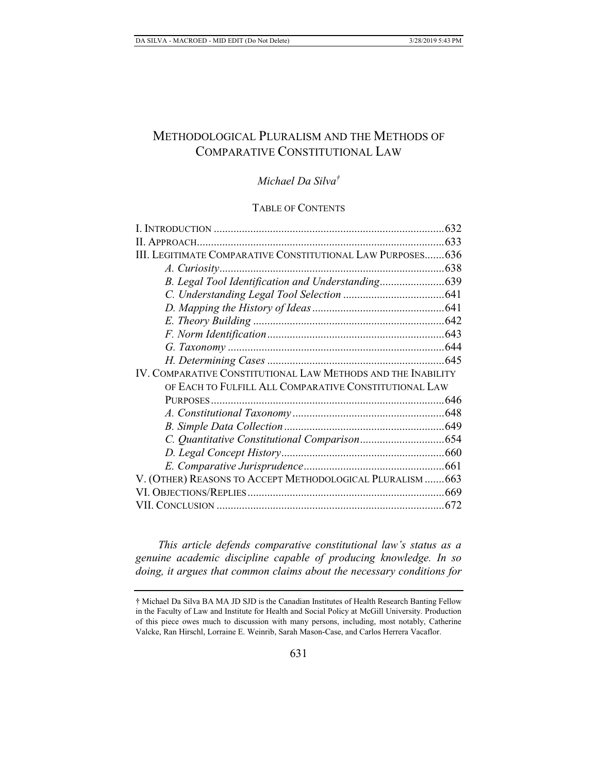# METHODOLOGICAL PLURALISM AND THE METHODS OF COMPARATIVE CONSTITUTIONAL LAW

# *Michael Da Silva†*

# TABLE OF CONTENTS

| III. LEGITIMATE COMPARATIVE CONSTITUTIONAL LAW PURPOSES 636  |  |
|--------------------------------------------------------------|--|
|                                                              |  |
|                                                              |  |
|                                                              |  |
|                                                              |  |
|                                                              |  |
|                                                              |  |
|                                                              |  |
|                                                              |  |
| IV. COMPARATIVE CONSTITUTIONAL LAW METHODS AND THE INABILITY |  |
| OF EACH TO FULFILL ALL COMPARATIVE CONSTITUTIONAL LAW        |  |
|                                                              |  |
|                                                              |  |
|                                                              |  |
|                                                              |  |
|                                                              |  |
|                                                              |  |
| V. (OTHER) REASONS TO ACCEPT METHODOLOGICAL PLURALISM  663   |  |
|                                                              |  |
|                                                              |  |

*This article defends comparative constitutional law's status as a genuine academic discipline capable of producing knowledge. In so doing, it argues that common claims about the necessary conditions for* 

<sup>†</sup> Michael Da Silva BA MA JD SJD is the Canadian Institutes of Health Research Banting Fellow in the Faculty of Law and Institute for Health and Social Policy at McGill University. Production of this piece owes much to discussion with many persons, including, most notably, Catherine Valcke, Ran Hirschl, Lorraine E. Weinrib, Sarah Mason-Case, and Carlos Herrera Vacaflor.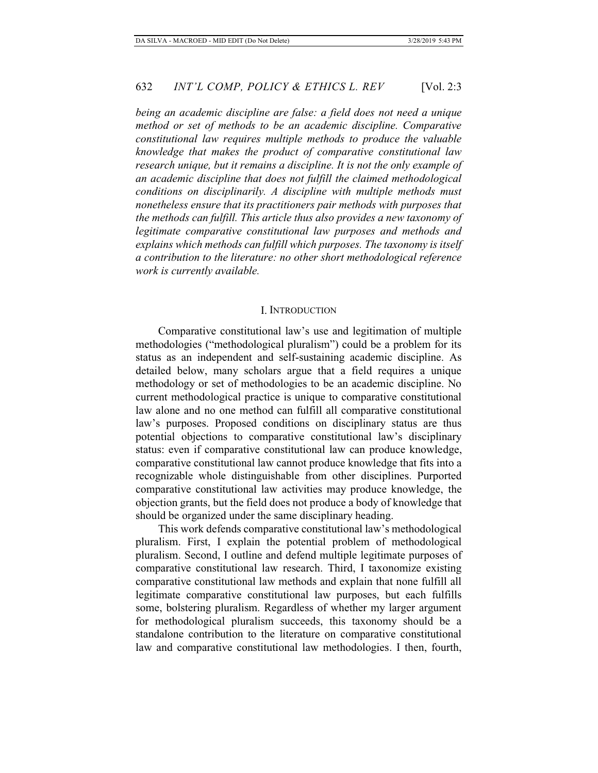*being an academic discipline are false: a field does not need a unique method or set of methods to be an academic discipline. Comparative constitutional law requires multiple methods to produce the valuable knowledge that makes the product of comparative constitutional law research unique, but it remains a discipline. It is not the only example of an academic discipline that does not fulfill the claimed methodological conditions on disciplinarily. A discipline with multiple methods must nonetheless ensure that its practitioners pair methods with purposes that the methods can fulfill. This article thus also provides a new taxonomy of legitimate comparative constitutional law purposes and methods and explains which methods can fulfill which purposes. The taxonomy is itself a contribution to the literature: no other short methodological reference work is currently available.*

#### I. INTRODUCTION

Comparative constitutional law's use and legitimation of multiple methodologies ("methodological pluralism") could be a problem for its status as an independent and self-sustaining academic discipline. As detailed below, many scholars argue that a field requires a unique methodology or set of methodologies to be an academic discipline. No current methodological practice is unique to comparative constitutional law alone and no one method can fulfill all comparative constitutional law's purposes. Proposed conditions on disciplinary status are thus potential objections to comparative constitutional law's disciplinary status: even if comparative constitutional law can produce knowledge, comparative constitutional law cannot produce knowledge that fits into a recognizable whole distinguishable from other disciplines. Purported comparative constitutional law activities may produce knowledge, the objection grants, but the field does not produce a body of knowledge that should be organized under the same disciplinary heading.

This work defends comparative constitutional law's methodological pluralism. First, I explain the potential problem of methodological pluralism. Second, I outline and defend multiple legitimate purposes of comparative constitutional law research. Third, I taxonomize existing comparative constitutional law methods and explain that none fulfill all legitimate comparative constitutional law purposes, but each fulfills some, bolstering pluralism. Regardless of whether my larger argument for methodological pluralism succeeds, this taxonomy should be a standalone contribution to the literature on comparative constitutional law and comparative constitutional law methodologies. I then, fourth,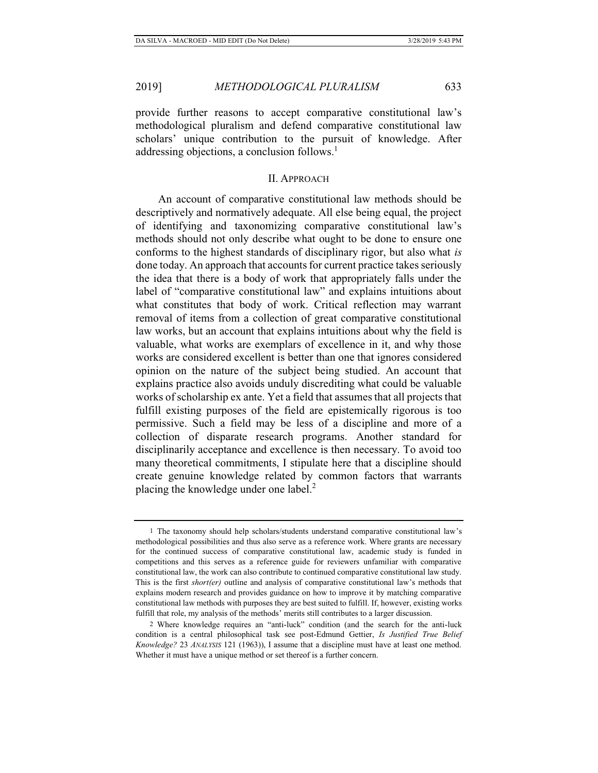provide further reasons to accept comparative constitutional law's methodological pluralism and defend comparative constitutional law scholars' unique contribution to the pursuit of knowledge. After addressing objections, a conclusion follows.<sup>1</sup>

#### II. APPROACH

An account of comparative constitutional law methods should be descriptively and normatively adequate. All else being equal, the project of identifying and taxonomizing comparative constitutional law's methods should not only describe what ought to be done to ensure one conforms to the highest standards of disciplinary rigor, but also what *is* done today. An approach that accounts for current practice takes seriously the idea that there is a body of work that appropriately falls under the label of "comparative constitutional law" and explains intuitions about what constitutes that body of work. Critical reflection may warrant removal of items from a collection of great comparative constitutional law works, but an account that explains intuitions about why the field is valuable, what works are exemplars of excellence in it, and why those works are considered excellent is better than one that ignores considered opinion on the nature of the subject being studied. An account that explains practice also avoids unduly discrediting what could be valuable works of scholarship ex ante. Yet a field that assumes that all projects that fulfill existing purposes of the field are epistemically rigorous is too permissive. Such a field may be less of a discipline and more of a collection of disparate research programs. Another standard for disciplinarily acceptance and excellence is then necessary. To avoid too many theoretical commitments, I stipulate here that a discipline should create genuine knowledge related by common factors that warrants placing the knowledge under one label.<sup>2</sup>

<sup>1</sup> The taxonomy should help scholars/students understand comparative constitutional law's methodological possibilities and thus also serve as a reference work. Where grants are necessary for the continued success of comparative constitutional law, academic study is funded in competitions and this serves as a reference guide for reviewers unfamiliar with comparative constitutional law, the work can also contribute to continued comparative constitutional law study. This is the first *short(er)* outline and analysis of comparative constitutional law's methods that explains modern research and provides guidance on how to improve it by matching comparative constitutional law methods with purposes they are best suited to fulfill. If, however, existing works fulfill that role, my analysis of the methods' merits still contributes to a larger discussion.

<sup>2</sup> Where knowledge requires an "anti-luck" condition (and the search for the anti-luck condition is a central philosophical task see post-Edmund Gettier, *Is Justified True Belief Knowledge?* 23 *ANALYSIS* 121 (1963)), I assume that a discipline must have at least one method. Whether it must have a unique method or set thereof is a further concern.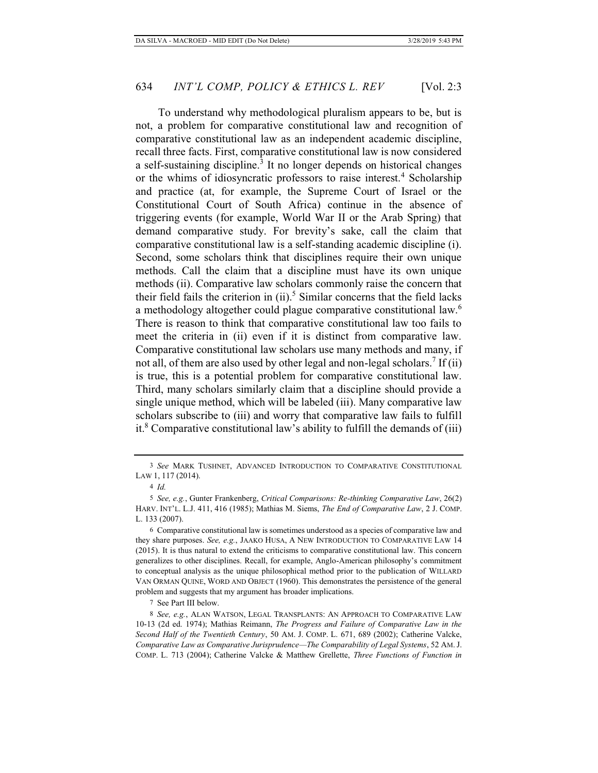To understand why methodological pluralism appears to be, but is not, a problem for comparative constitutional law and recognition of comparative constitutional law as an independent academic discipline, recall three facts. First, comparative constitutional law is now considered a self-sustaining discipline.<sup>3</sup> It no longer depends on historical changes or the whims of idiosyncratic professors to raise interest.<sup>4</sup> Scholarship and practice (at, for example, the Supreme Court of Israel or the Constitutional Court of South Africa) continue in the absence of triggering events (for example, World War II or the Arab Spring) that demand comparative study. For brevity's sake, call the claim that comparative constitutional law is a self-standing academic discipline (i). Second, some scholars think that disciplines require their own unique methods. Call the claim that a discipline must have its own unique methods (ii). Comparative law scholars commonly raise the concern that their field fails the criterion in  $(ii)$ .<sup>5</sup> Similar concerns that the field lacks a methodology altogether could plague comparative constitutional law.<sup>6</sup> There is reason to think that comparative constitutional law too fails to meet the criteria in (ii) even if it is distinct from comparative law.

Comparative constitutional law scholars use many methods and many, if not all, of them are also used by other legal and non-legal scholars.<sup>7</sup> If (ii) is true, this is a potential problem for comparative constitutional law. Third, many scholars similarly claim that a discipline should provide a single unique method, which will be labeled (iii). Many comparative law scholars subscribe to (iii) and worry that comparative law fails to fulfill it.<sup>8</sup> Comparative constitutional law's ability to fulfill the demands of (iii)

7 See Part III below.

<sup>3</sup> *See* MARK TUSHNET, ADVANCED INTRODUCTION TO COMPARATIVE CONSTITUTIONAL LAW 1, 117 (2014).

<sup>4</sup> *Id.*

<sup>5</sup> *See, e.g.*, Gunter Frankenberg, *Critical Comparisons: Re-thinking Comparative Law*, 26(2) HARV. INT'L. L.J. 411, 416 (1985); Mathias M. Siems, *The End of Comparative Law*, 2 J. COMP. L. 133 (2007).

<sup>6</sup> Comparative constitutional law is sometimes understood as a species of comparative law and they share purposes. *See, e.g.*, JAAKO HUSA, A NEW INTRODUCTION TO COMPARATIVE LAW 14 (2015). It is thus natural to extend the criticisms to comparative constitutional law. This concern generalizes to other disciplines. Recall, for example, Anglo-American philosophy's commitment to conceptual analysis as the unique philosophical method prior to the publication of WILLARD VAN ORMAN QUINE, WORD AND OBJECT (1960). This demonstrates the persistence of the general problem and suggests that my argument has broader implications.

<sup>8</sup> *See, e.g.*, ALAN WATSON, LEGAL TRANSPLANTS: AN APPROACH TO COMPARATIVE LAW 10-13 (2d ed. 1974); Mathias Reimann, *The Progress and Failure of Comparative Law in the Second Half of the Twentieth Century*, 50 AM. J. COMP. L. 671, 689 (2002); Catherine Valcke, *Comparative Law as Comparative Jurisprudence—The Comparability of Legal Systems*, 52 AM.J. COMP. L. 713 (2004); Catherine Valcke & Matthew Grellette, *Three Functions of Function in*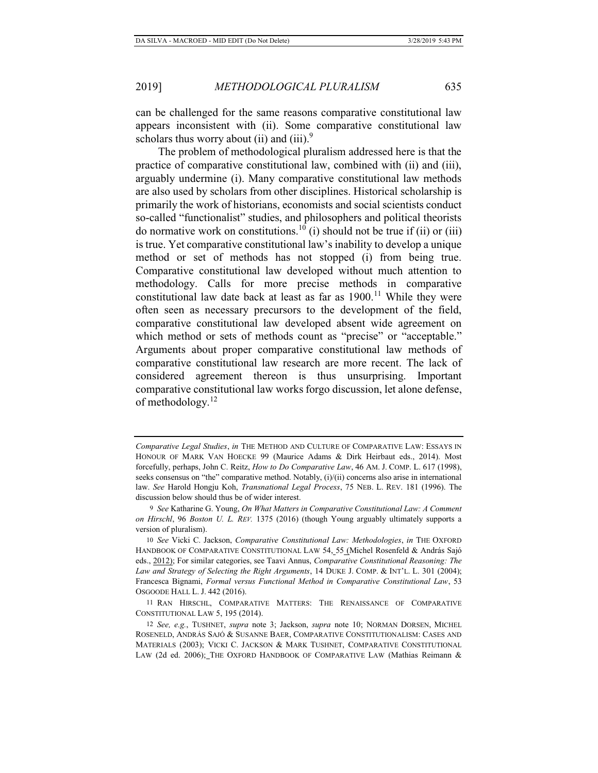can be challenged for the same reasons comparative constitutional law appears inconsistent with (ii). Some comparative constitutional law scholars thus worry about (ii) and (iii). $9$ 

The problem of methodological pluralism addressed here is that the practice of comparative constitutional law, combined with (ii) and (iii), arguably undermine (i). Many comparative constitutional law methods are also used by scholars from other disciplines. Historical scholarship is primarily the work of historians, economists and social scientists conduct so-called "functionalist" studies, and philosophers and political theorists do normative work on constitutions.<sup>10</sup> (i) should not be true if (ii) or (iii) is true. Yet comparative constitutional law's inability to develop a unique method or set of methods has not stopped (i) from being true. Comparative constitutional law developed without much attention to methodology. Calls for more precise methods in comparative constitutional law date back at least as far as  $1900$ .<sup>11</sup> While they were often seen as necessary precursors to the development of the field, comparative constitutional law developed absent wide agreement on which method or sets of methods count as "precise" or "acceptable." Arguments about proper comparative constitutional law methods of comparative constitutional law research are more recent. The lack of considered agreement thereon is thus unsurprising. Important comparative constitutional law works forgo discussion, let alone defense, of methodology.<sup>12</sup>

*Comparative Legal Studies*, *in* THE METHOD AND CULTURE OF COMPARATIVE LAW: ESSAYS IN HONOUR OF MARK VAN HOECKE 99 (Maurice Adams & Dirk Heirbaut eds., 2014). Most forcefully, perhaps, John C. Reitz, *How to Do Comparative Law*, 46 AM. J. COMP. L. 617 (1998), seeks consensus on "the" comparative method. Notably, (i)/(ii) concerns also arise in international law. *See* Harold Hongju Koh, *Transnational Legal Process*, 75 NEB. L. REV. 181 (1996). The discussion below should thus be of wider interest.

<sup>9</sup> *See* Katharine G. Young, *On What Matters in Comparative Constitutional Law: A Comment on Hirschl*, 96 *Boston U. L. REV.* 1375 (2016) (though Young arguably ultimately supports a version of pluralism).

<sup>10</sup> *See* Vicki C. Jackson, *Comparative Constitutional Law: Methodologies*, *in* THE OXFORD HANDBOOK OF COMPARATIVE CONSTITUTIONAL LAW 54, 55 (Michel Rosenfeld & András Sajó eds., 2012); For similar categories, see Taavi Annus, *Comparative Constitutional Reasoning: The Law and Strategy of Selecting the Right Arguments*, 14 DUKE J. COMP. & INT'L. L. 301 (2004); Francesca Bignami, *Formal versus Functional Method in Comparative Constitutional Law*, 53 OSGOODE HALL L. J. 442 (2016).

<sup>11</sup> RAN HIRSCHL, COMPARATIVE MATTERS: THE RENAISSANCE OF COMPARATIVE CONSTITUTIONAL LAW 5, 195 (2014).

<sup>12</sup> *See, e.g.*, TUSHNET, *supra* note 3; Jackson, *supra* note 10; NORMAN DORSEN, MICHEL ROSENELD, ANDRÁS SAJÓ & SUSANNE BAER, COMPARATIVE CONSTITUTIONALISM: CASES AND MATERIALS (2003); VICKI C. JACKSON & MARK TUSHNET, COMPARATIVE CONSTITUTIONAL LAW (2d ed. 2006); THE OXFORD HANDBOOK OF COMPARATIVE LAW (Mathias Reimann &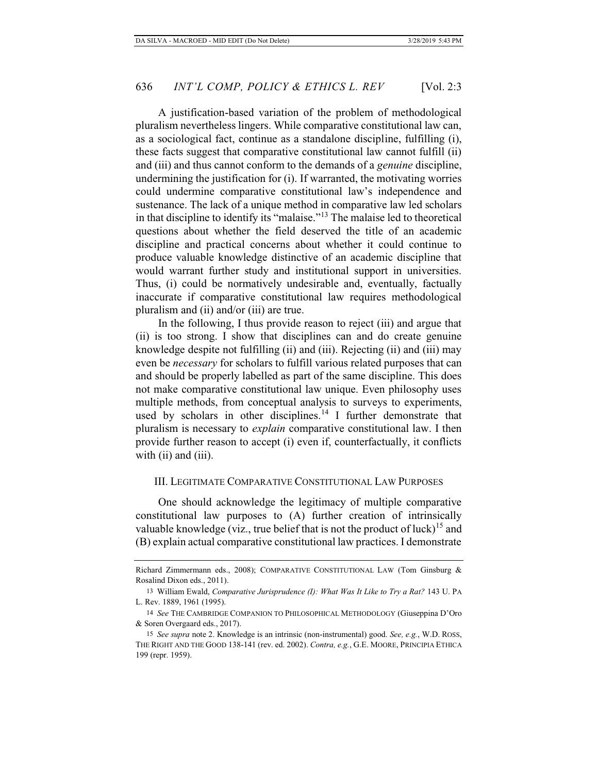A justification-based variation of the problem of methodological pluralism nevertheless lingers. While comparative constitutional law can, as a sociological fact, continue as a standalone discipline, fulfilling (i), these facts suggest that comparative constitutional law cannot fulfill (ii) and (iii) and thus cannot conform to the demands of a *genuine* discipline, undermining the justification for (i). If warranted, the motivating worries could undermine comparative constitutional law's independence and sustenance. The lack of a unique method in comparative law led scholars in that discipline to identify its "malaise."13 The malaise led to theoretical questions about whether the field deserved the title of an academic discipline and practical concerns about whether it could continue to produce valuable knowledge distinctive of an academic discipline that would warrant further study and institutional support in universities. Thus, (i) could be normatively undesirable and, eventually, factually inaccurate if comparative constitutional law requires methodological pluralism and (ii) and/or (iii) are true.

In the following, I thus provide reason to reject (iii) and argue that (ii) is too strong. I show that disciplines can and do create genuine knowledge despite not fulfilling (ii) and (iii). Rejecting (ii) and (iii) may even be *necessary* for scholars to fulfill various related purposes that can and should be properly labelled as part of the same discipline. This does not make comparative constitutional law unique. Even philosophy uses multiple methods, from conceptual analysis to surveys to experiments, used by scholars in other disciplines.<sup>14</sup> I further demonstrate that pluralism is necessary to *explain* comparative constitutional law. I then provide further reason to accept (i) even if, counterfactually, it conflicts with (ii) and (iii).

### III. LEGITIMATE COMPARATIVE CONSTITUTIONAL LAW PURPOSES

One should acknowledge the legitimacy of multiple comparative constitutional law purposes to (A) further creation of intrinsically valuable knowledge (viz., true belief that is not the product of luck)<sup>15</sup> and (B) explain actual comparative constitutional law practices. I demonstrate

Richard Zimmermann eds., 2008); COMPARATIVE CONSTITUTIONAL LAW (Tom Ginsburg & Rosalind Dixon eds., 2011).

<sup>13</sup> William Ewald, *Comparative Jurisprudence (I): What Was It Like to Try a Rat?* 143 U. PA L. Rev. 1889, 1961 (1995).

<sup>14</sup> *See* THE CAMBRIDGE COMPANION TO PHILOSOPHICAL METHODOLOGY (Giuseppina D'Oro & Soren Overgaard eds., 2017).

<sup>15</sup> *See supra* note 2. Knowledge is an intrinsic (non-instrumental) good. *See, e.g.*, W.D. ROSS, THE RIGHT AND THE GOOD 138-141 (rev. ed. 2002). *Contra, e.g.*, G.E. MOORE, PRINCIPIA ETHICA 199 (repr. 1959).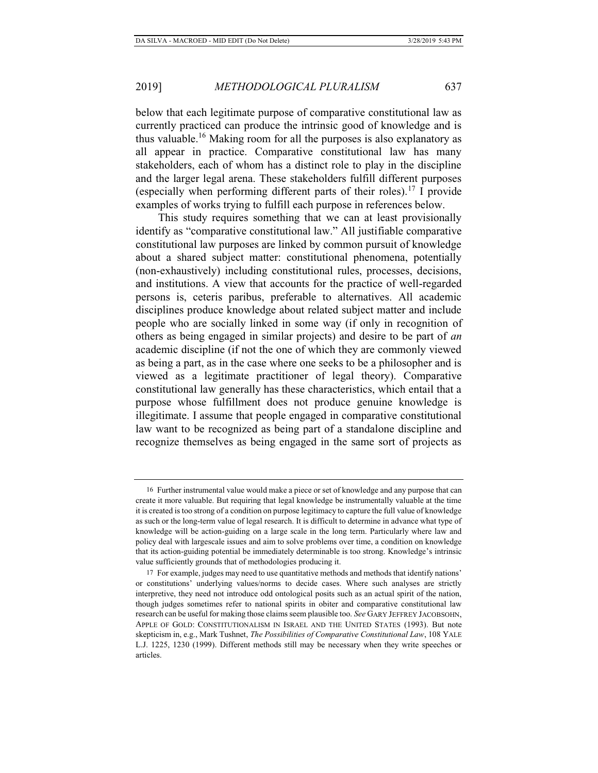below that each legitimate purpose of comparative constitutional law as currently practiced can produce the intrinsic good of knowledge and is thus valuable.16 Making room for all the purposes is also explanatory as all appear in practice. Comparative constitutional law has many stakeholders, each of whom has a distinct role to play in the discipline and the larger legal arena. These stakeholders fulfill different purposes (especially when performing different parts of their roles).<sup>17</sup> I provide examples of works trying to fulfill each purpose in references below.

This study requires something that we can at least provisionally identify as "comparative constitutional law." All justifiable comparative constitutional law purposes are linked by common pursuit of knowledge about a shared subject matter: constitutional phenomena, potentially (non-exhaustively) including constitutional rules, processes, decisions, and institutions. A view that accounts for the practice of well-regarded persons is, ceteris paribus, preferable to alternatives. All academic disciplines produce knowledge about related subject matter and include people who are socially linked in some way (if only in recognition of others as being engaged in similar projects) and desire to be part of *an*  academic discipline (if not the one of which they are commonly viewed as being a part, as in the case where one seeks to be a philosopher and is viewed as a legitimate practitioner of legal theory). Comparative constitutional law generally has these characteristics, which entail that a purpose whose fulfillment does not produce genuine knowledge is illegitimate. I assume that people engaged in comparative constitutional law want to be recognized as being part of a standalone discipline and recognize themselves as being engaged in the same sort of projects as

<sup>16</sup> Further instrumental value would make a piece or set of knowledge and any purpose that can create it more valuable. But requiring that legal knowledge be instrumentally valuable at the time it is created is too strong of a condition on purpose legitimacy to capture the full value of knowledge as such or the long-term value of legal research. It is difficult to determine in advance what type of knowledge will be action-guiding on a large scale in the long term. Particularly where law and policy deal with largescale issues and aim to solve problems over time, a condition on knowledge that its action-guiding potential be immediately determinable is too strong. Knowledge's intrinsic value sufficiently grounds that of methodologies producing it.

<sup>17</sup> For example, judges may need to use quantitative methods and methods that identify nations' or constitutions' underlying values/norms to decide cases. Where such analyses are strictly interpretive, they need not introduce odd ontological posits such as an actual spirit of the nation, though judges sometimes refer to national spirits in obiter and comparative constitutional law research can be useful for making those claims seem plausible too. *See* GARY JEFFREY JACOBSOHN, APPLE OF GOLD: CONSTITUTIONALISM IN ISRAEL AND THE UNITED STATES (1993). But note skepticism in, e.g., Mark Tushnet, *The Possibilities of Comparative Constitutional Law*, 108 YALE L.J. 1225, 1230 (1999). Different methods still may be necessary when they write speeches or articles.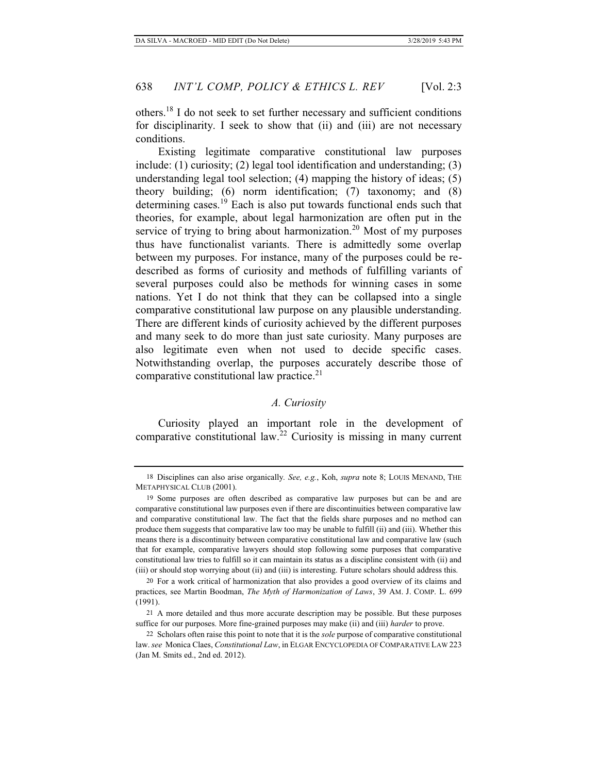others.18 I do not seek to set further necessary and sufficient conditions for disciplinarity. I seek to show that (ii) and (iii) are not necessary conditions.

Existing legitimate comparative constitutional law purposes include: (1) curiosity; (2) legal tool identification and understanding; (3) understanding legal tool selection; (4) mapping the history of ideas; (5) theory building; (6) norm identification; (7) taxonomy; and (8) determining cases.19 Each is also put towards functional ends such that theories, for example, about legal harmonization are often put in the service of trying to bring about harmonization.<sup>20</sup> Most of my purposes thus have functionalist variants. There is admittedly some overlap between my purposes. For instance, many of the purposes could be redescribed as forms of curiosity and methods of fulfilling variants of several purposes could also be methods for winning cases in some nations. Yet I do not think that they can be collapsed into a single comparative constitutional law purpose on any plausible understanding. There are different kinds of curiosity achieved by the different purposes and many seek to do more than just sate curiosity. Many purposes are also legitimate even when not used to decide specific cases. Notwithstanding overlap, the purposes accurately describe those of comparative constitutional law practice.<sup>21</sup>

# *A. Curiosity*

Curiosity played an important role in the development of comparative constitutional law.<sup>22</sup> Curiosity is missing in many current

<sup>18</sup> Disciplines can also arise organically*. See, e.g.*, Koh, *supra* note 8; LOUIS MENAND, THE METAPHYSICAL CLUB (2001).

<sup>19</sup> Some purposes are often described as comparative law purposes but can be and are comparative constitutional law purposes even if there are discontinuities between comparative law and comparative constitutional law. The fact that the fields share purposes and no method can produce them suggests that comparative law too may be unable to fulfill (ii) and (iii). Whether this means there is a discontinuity between comparative constitutional law and comparative law (such that for example, comparative lawyers should stop following some purposes that comparative constitutional law tries to fulfill so it can maintain its status as a discipline consistent with (ii) and (iii) or should stop worrying about (ii) and (iii) is interesting. Future scholars should address this.

<sup>20</sup> For a work critical of harmonization that also provides a good overview of its claims and practices, see Martin Boodman, *The Myth of Harmonization of Laws*, 39 AM. J. COMP. L. 699 (1991).

<sup>21</sup> A more detailed and thus more accurate description may be possible. But these purposes suffice for our purposes. More fine-grained purposes may make (ii) and (iii) *harder* to prove.

<sup>22</sup> Scholars often raise this point to note that it is the *sole* purpose of comparative constitutional law. *see* Monica Claes, *Constitutional Law*, in ELGAR ENCYCLOPEDIA OF COMPARATIVE LAW 223 (Jan M. Smits ed., 2nd ed. 2012).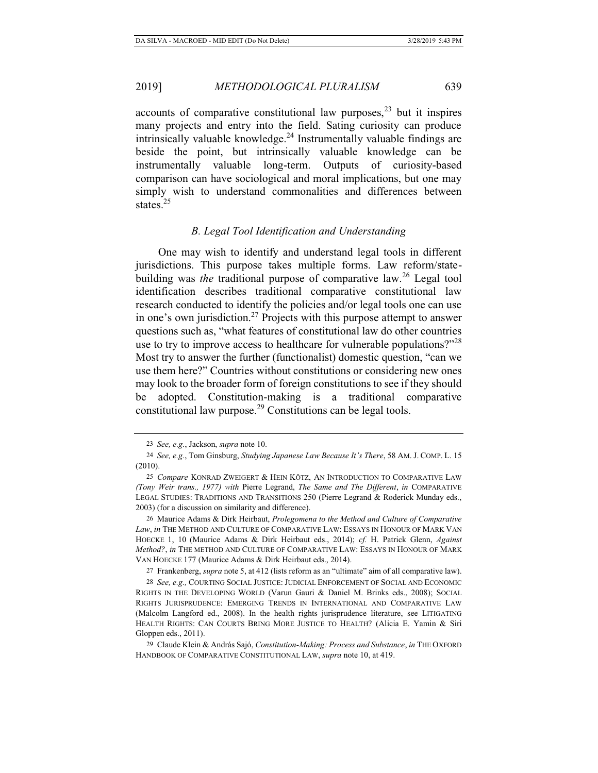accounts of comparative constitutional law purposes,  $2<sup>3</sup>$  but it inspires many projects and entry into the field. Sating curiosity can produce intrinsically valuable knowledge.<sup>24</sup> Instrumentally valuable findings are beside the point, but intrinsically valuable knowledge can be instrumentally valuable long-term. Outputs of curiosity-based comparison can have sociological and moral implications, but one may simply wish to understand commonalities and differences between states.<sup>25</sup>

# *B. Legal Tool Identification and Understanding*

One may wish to identify and understand legal tools in different jurisdictions. This purpose takes multiple forms. Law reform/statebuilding was *the* traditional purpose of comparative law.<sup>26</sup> Legal tool identification describes traditional comparative constitutional law research conducted to identify the policies and/or legal tools one can use in one's own jurisdiction.<sup>27</sup> Projects with this purpose attempt to answer questions such as, "what features of constitutional law do other countries use to try to improve access to healthcare for vulnerable populations?"<sup>28</sup> Most try to answer the further (functionalist) domestic question, "can we use them here?" Countries without constitutions or considering new ones may look to the broader form of foreign constitutions to see if they should be adopted. Constitution-making is a traditional comparative constitutional law purpose.29 Constitutions can be legal tools.

26 Maurice Adams & Dirk Heirbaut, *Prolegomena to the Method and Culture of Comparative Law*, *in* THE METHOD AND CULTURE OF COMPARATIVE LAW: ESSAYS IN HONOUR OF MARK VAN HOECKE 1, 10 (Maurice Adams & Dirk Heirbaut eds., 2014); *cf.* H. Patrick Glenn, *Against Method?*, *in* THE METHOD AND CULTURE OF COMPARATIVE LAW: ESSAYS IN HONOUR OF MARK VAN HOECKE 177 (Maurice Adams & Dirk Heirbaut eds., 2014).

27 Frankenberg, *supra* note 5, at 412 (lists reform as an "ultimate" aim of all comparative law).

28 *See, e.g.,* COURTING SOCIAL JUSTICE: JUDICIAL ENFORCEMENT OF SOCIAL AND ECONOMIC RIGHTS IN THE DEVELOPING WORLD (Varun Gauri & Daniel M. Brinks eds., 2008); SOCIAL RIGHTS JURISPRUDENCE: EMERGING TRENDS IN INTERNATIONAL AND COMPARATIVE LAW (Malcolm Langford ed., 2008). In the health rights jurisprudence literature, see LITIGATING HEALTH RIGHTS: CAN COURTS BRING MORE JUSTICE TO HEALTH? (Alicia E. Yamin & Siri Gloppen eds., 2011).

29 Claude Klein & András Sajó, *Constitution-Making: Process and Substance*, *in* THE OXFORD HANDBOOK OF COMPARATIVE CONSTITUTIONAL LAW, *supra* note 10, at 419.

<sup>23</sup> *See, e.g.*, Jackson, *supra* note 10.

<sup>24</sup> *See, e.g.*, Tom Ginsburg, *Studying Japanese Law Because It's There*, 58 AM. J. COMP. L. 15 (2010).

<sup>25</sup> *Compare* KONRAD ZWEIGERT & HEIN KÖTZ, AN INTRODUCTION TO COMPARATIVE LAW *(Tony Weir trans., 1977) with* Pierre Legrand, *The Same and The Different*, *in* COMPARATIVE LEGAL STUDIES: TRADITIONS AND TRANSITIONS 250 (Pierre Legrand & Roderick Munday eds., 2003) (for a discussion on similarity and difference).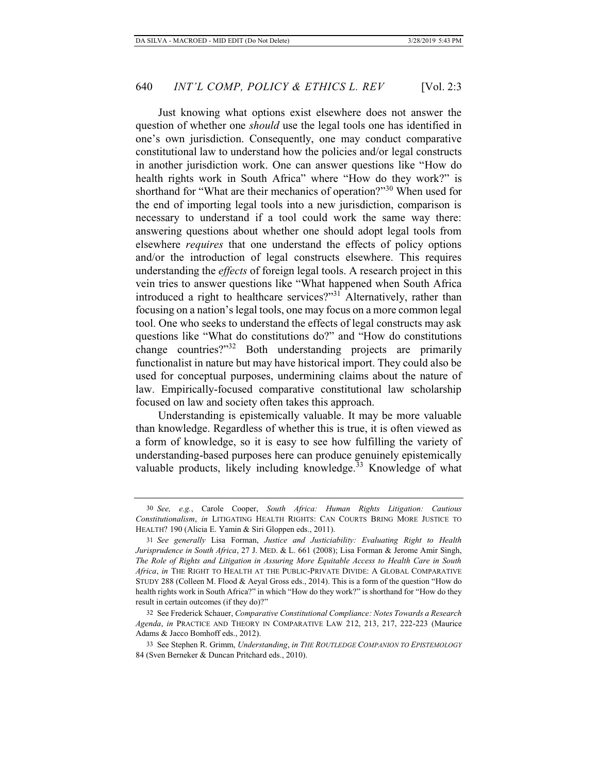Just knowing what options exist elsewhere does not answer the question of whether one *should* use the legal tools one has identified in one's own jurisdiction. Consequently, one may conduct comparative constitutional law to understand how the policies and/or legal constructs in another jurisdiction work. One can answer questions like "How do health rights work in South Africa" where "How do they work?" is shorthand for "What are their mechanics of operation?"<sup>30</sup> When used for the end of importing legal tools into a new jurisdiction, comparison is necessary to understand if a tool could work the same way there: answering questions about whether one should adopt legal tools from elsewhere *requires* that one understand the effects of policy options and/or the introduction of legal constructs elsewhere. This requires understanding the *effects* of foreign legal tools. A research project in this vein tries to answer questions like "What happened when South Africa introduced a right to healthcare services?"31 Alternatively, rather than focusing on a nation's legal tools, one may focus on a more common legal tool. One who seeks to understand the effects of legal constructs may ask questions like "What do constitutions do?" and "How do constitutions change countries?"32 Both understanding projects are primarily functionalist in nature but may have historical import. They could also be used for conceptual purposes, undermining claims about the nature of law. Empirically-focused comparative constitutional law scholarship focused on law and society often takes this approach.

Understanding is epistemically valuable. It may be more valuable than knowledge. Regardless of whether this is true, it is often viewed as a form of knowledge, so it is easy to see how fulfilling the variety of understanding-based purposes here can produce genuinely epistemically valuable products, likely including knowledge.<sup>33</sup> Knowledge of what

<sup>30</sup> *See, e.g.*, Carole Cooper, *South Africa: Human Rights Litigation: Cautious Constitutionalism*, *in* LITIGATING HEALTH RIGHTS: CAN COURTS BRING MORE JUSTICE TO HEALTH? 190 (Alicia E. Yamin & Siri Gloppen eds., 2011).

<sup>31</sup> *See generally* Lisa Forman, *Justice and Justiciability: Evaluating Right to Health Jurisprudence in South Africa*, 27 J. MED. & L. 661 (2008); Lisa Forman & Jerome Amir Singh, *The Role of Rights and Litigation in Assuring More Equitable Access to Health Care in South Africa*, *in* THE RIGHT TO HEALTH AT THE PUBLIC-PRIVATE DIVIDE: A GLOBAL COMPARATIVE STUDY 288 (Colleen M. Flood & Aeyal Gross eds., 2014). This is a form of the question "How do health rights work in South Africa?" in which "How do they work?" is shorthand for "How do they result in certain outcomes (if they do)?"

<sup>32</sup> See Frederick Schauer, *Comparative Constitutional Compliance: Notes Towards a Research Agenda*, *in* PRACTICE AND THEORY IN COMPARATIVE LAW 212, 213, 217, 222-223 (Maurice Adams & Jacco Bomhoff eds., 2012).

<sup>33</sup> See Stephen R. Grimm, *Understanding*, *in THE ROUTLEDGE COMPANION TO EPISTEMOLOGY* 84 (Sven Berneker & Duncan Pritchard eds., 2010).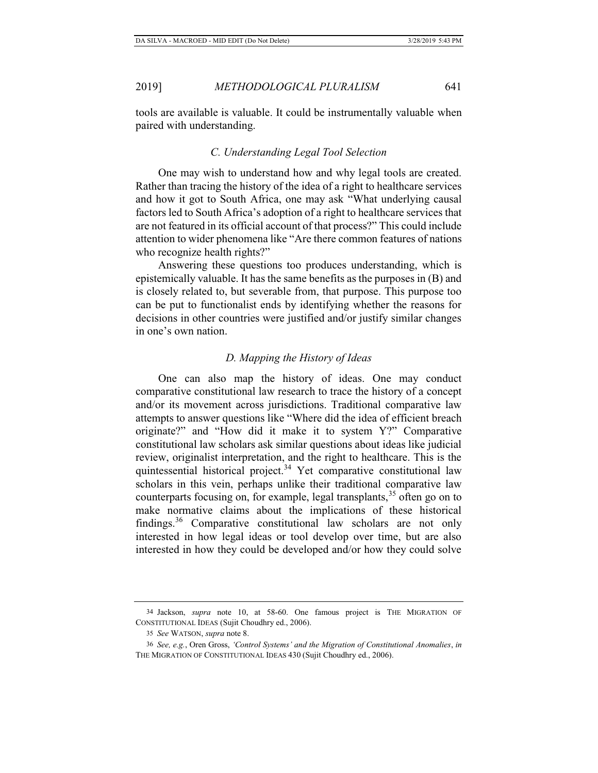tools are available is valuable. It could be instrumentally valuable when paired with understanding.

#### *C. Understanding Legal Tool Selection*

One may wish to understand how and why legal tools are created. Rather than tracing the history of the idea of a right to healthcare services and how it got to South Africa, one may ask "What underlying causal factors led to South Africa's adoption of a right to healthcare services that are not featured in its official account of that process?" This could include attention to wider phenomena like "Are there common features of nations who recognize health rights?"

Answering these questions too produces understanding, which is epistemically valuable. It has the same benefits as the purposes in (B) and is closely related to, but severable from, that purpose. This purpose too can be put to functionalist ends by identifying whether the reasons for decisions in other countries were justified and/or justify similar changes in one's own nation.

#### *D. Mapping the History of Ideas*

One can also map the history of ideas. One may conduct comparative constitutional law research to trace the history of a concept and/or its movement across jurisdictions. Traditional comparative law attempts to answer questions like "Where did the idea of efficient breach originate?" and "How did it make it to system Y?" Comparative constitutional law scholars ask similar questions about ideas like judicial review, originalist interpretation, and the right to healthcare. This is the quintessential historical project.<sup>34</sup> Yet comparative constitutional law scholars in this vein, perhaps unlike their traditional comparative law counterparts focusing on, for example, legal transplants,  $35$  often go on to make normative claims about the implications of these historical findings.36 Comparative constitutional law scholars are not only interested in how legal ideas or tool develop over time, but are also interested in how they could be developed and/or how they could solve

<sup>34</sup> Jackson, *supra* note 10, at 58-60. One famous project is THE MIGRATION OF CONSTITUTIONAL IDEAS (Sujit Choudhry ed., 2006).

<sup>35</sup> *See* WATSON, *supra* note 8.

<sup>36</sup> *See, e.g.*, Oren Gross, *'Control Systems' and the Migration of Constitutional Anomalies*, *in* THE MIGRATION OF CONSTITUTIONAL IDEAS 430 (Sujit Choudhry ed., 2006).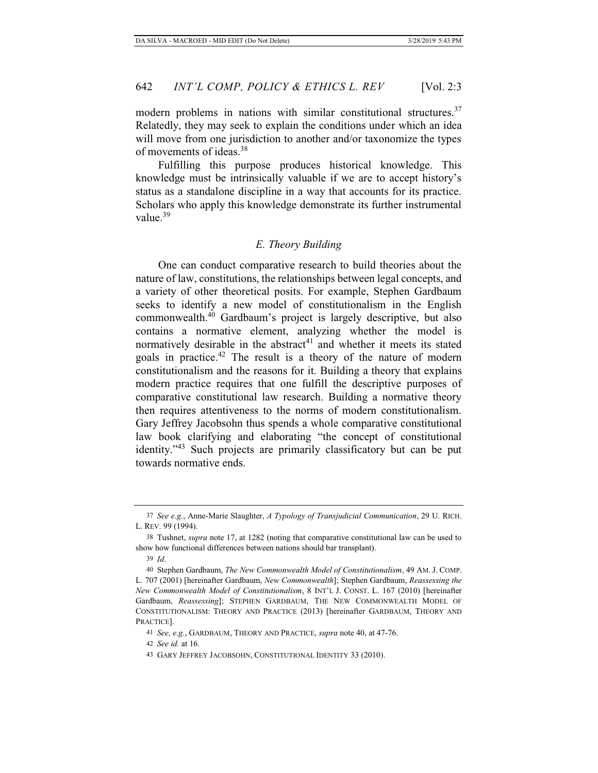modern problems in nations with similar constitutional structures.<sup>37</sup> Relatedly, they may seek to explain the conditions under which an idea will move from one jurisdiction to another and/or taxonomize the types of movements of ideas.<sup>38</sup>

Fulfilling this purpose produces historical knowledge. This knowledge must be intrinsically valuable if we are to accept history's status as a standalone discipline in a way that accounts for its practice. Scholars who apply this knowledge demonstrate its further instrumental value.<sup>39</sup>

#### *E. Theory Building*

One can conduct comparative research to build theories about the nature of law, constitutions, the relationships between legal concepts, and a variety of other theoretical posits. For example, Stephen Gardbaum seeks to identify a new model of constitutionalism in the English commonwealth.40 Gardbaum's project is largely descriptive, but also contains a normative element, analyzing whether the model is normatively desirable in the abstract<sup>41</sup> and whether it meets its stated goals in practice.42 The result is a theory of the nature of modern constitutionalism and the reasons for it. Building a theory that explains modern practice requires that one fulfill the descriptive purposes of comparative constitutional law research. Building a normative theory then requires attentiveness to the norms of modern constitutionalism. Gary Jeffrey Jacobsohn thus spends a whole comparative constitutional law book clarifying and elaborating "the concept of constitutional identity."43 Such projects are primarily classificatory but can be put towards normative ends.

<sup>37</sup> *See e.g*., Anne-Marie Slaughter, *A Typology of Transjudicial Communication*, 29 U. RICH. L. REV. 99 (1994).

<sup>38</sup> Tushnet, *supra* note 17, at 1282 (noting that comparative constitutional law can be used to show how functional differences between nations should bar transplant).

<sup>39</sup> *Id*.

<sup>40</sup> Stephen Gardbaum, *The New Commonwealth Model of Constitutionalism*, 49 AM. J. COMP. L. 707 (2001) [hereinafter Gardbaum, *New Commonwealth*]; Stephen Gardbaum, *Reassessing the New Commonwealth Model of Constitutionalism*, 8 INT'L J. CONST. L. 167 (2010) [hereinafter Gardbaum, *Reassessing*]; STEPHEN GARDBAUM, THE NEW COMMONWEALTH MODEL OF CONSTITUTIONALISM: THEORY AND PRACTICE (2013) [hereinafter GARDBAUM, THEORY AND PRACTICE].

<sup>41</sup> *See, e.g.*, GARDBAUM, THEORY AND PRACTICE, *supra* note 40, at 47-76.

<sup>42</sup> *See id.* at 16.

<sup>43</sup> GARY JEFFREY JACOBSOHN, CONSTITUTIONAL IDENTITY 33 (2010).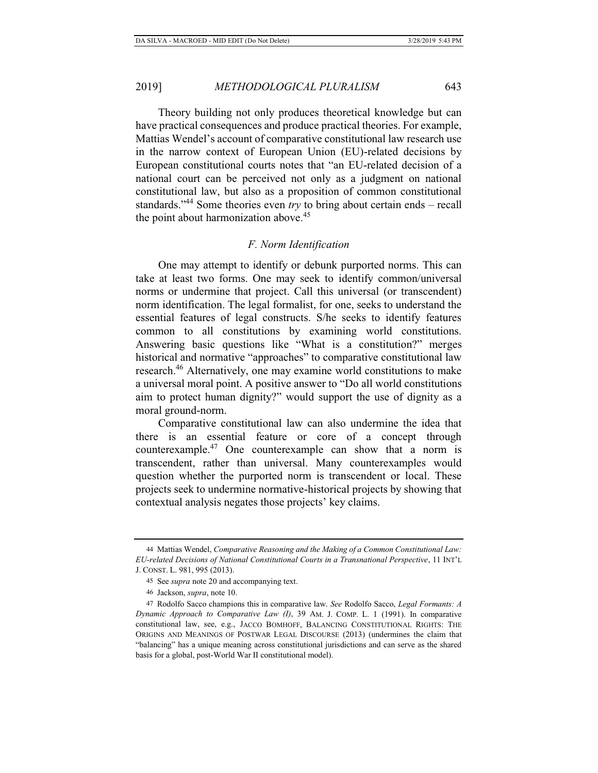Theory building not only produces theoretical knowledge but can have practical consequences and produce practical theories. For example, Mattias Wendel's account of comparative constitutional law research use in the narrow context of European Union (EU)-related decisions by European constitutional courts notes that "an EU-related decision of a national court can be perceived not only as a judgment on national constitutional law, but also as a proposition of common constitutional standards."44 Some theories even *try* to bring about certain ends – recall the point about harmonization above.<sup>45</sup>

# *F. Norm Identification*

One may attempt to identify or debunk purported norms. This can take at least two forms. One may seek to identify common/universal norms or undermine that project. Call this universal (or transcendent) norm identification. The legal formalist, for one, seeks to understand the essential features of legal constructs. S/he seeks to identify features common to all constitutions by examining world constitutions. Answering basic questions like "What is a constitution?" merges historical and normative "approaches" to comparative constitutional law research.<sup>46</sup> Alternatively, one may examine world constitutions to make a universal moral point. A positive answer to "Do all world constitutions aim to protect human dignity?" would support the use of dignity as a moral ground-norm.

Comparative constitutional law can also undermine the idea that there is an essential feature or core of a concept through counterexample.47 One counterexample can show that a norm is transcendent, rather than universal. Many counterexamples would question whether the purported norm is transcendent or local. These projects seek to undermine normative-historical projects by showing that contextual analysis negates those projects' key claims.

<sup>44</sup> Mattias Wendel, *Comparative Reasoning and the Making of a Common Constitutional Law: EU-related Decisions of National Constitutional Courts in a Transnational Perspective*, 11 INT'L J. CONST. L. 981, 995 (2013).

<sup>45</sup> See *supra* note 20 and accompanying text.

<sup>46</sup> Jackson, *supra*, note 10.

<sup>47</sup> Rodolfo Sacco champions this in comparative law. *See* Rodolfo Sacco, *Legal Formants: A Dynamic Approach to Comparative Law (I)*, 39 AM. J. COMP. L. 1 (1991). In comparative constitutional law, see, e.g., JACCO BOMHOFF, BALANCING CONSTITUTIONAL RIGHTS: THE ORIGINS AND MEANINGS OF POSTWAR LEGAL DISCOURSE (2013) (undermines the claim that "balancing" has a unique meaning across constitutional jurisdictions and can serve as the shared basis for a global, post-World War II constitutional model).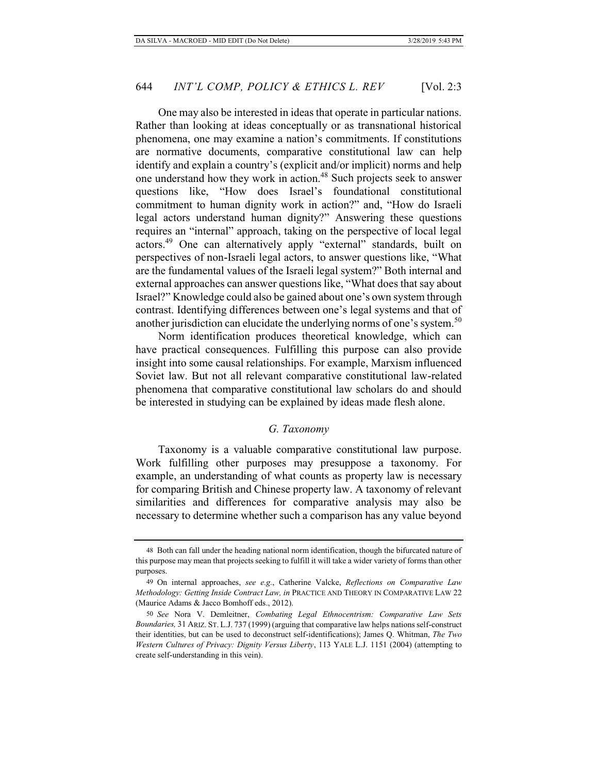One may also be interested in ideas that operate in particular nations. Rather than looking at ideas conceptually or as transnational historical phenomena, one may examine a nation's commitments. If constitutions are normative documents, comparative constitutional law can help identify and explain a country's (explicit and/or implicit) norms and help one understand how they work in action.<sup>48</sup> Such projects seek to answer questions like, "How does Israel's foundational constitutional commitment to human dignity work in action?" and, "How do Israeli legal actors understand human dignity?" Answering these questions requires an "internal" approach, taking on the perspective of local legal actors.49 One can alternatively apply "external" standards, built on perspectives of non-Israeli legal actors, to answer questions like, "What are the fundamental values of the Israeli legal system?" Both internal and external approaches can answer questions like, "What does that say about Israel?" Knowledge could also be gained about one's own system through contrast. Identifying differences between one's legal systems and that of another jurisdiction can elucidate the underlying norms of one's system.<sup>50</sup>

Norm identification produces theoretical knowledge, which can have practical consequences. Fulfilling this purpose can also provide insight into some causal relationships. For example, Marxism influenced Soviet law. But not all relevant comparative constitutional law-related phenomena that comparative constitutional law scholars do and should be interested in studying can be explained by ideas made flesh alone.

#### *G. Taxonomy*

Taxonomy is a valuable comparative constitutional law purpose. Work fulfilling other purposes may presuppose a taxonomy. For example, an understanding of what counts as property law is necessary for comparing British and Chinese property law. A taxonomy of relevant similarities and differences for comparative analysis may also be necessary to determine whether such a comparison has any value beyond

<sup>48</sup> Both can fall under the heading national norm identification, though the bifurcated nature of this purpose may mean that projects seeking to fulfill it will take a wider variety of forms than other purposes.

<sup>49</sup> On internal approaches, *see e.g.*, Catherine Valcke, *Reflections on Comparative Law Methodology: Getting Inside Contract Law, in* PRACTICE AND THEORY IN COMPARATIVE LAW 22 (Maurice Adams & Jacco Bomhoff eds., 2012).

<sup>50</sup> *See* Nora V. Demleitner, *Combating Legal Ethnocentrism: Comparative Law Sets Boundaries,* 31 ARIZ. ST. L.J. 737 (1999) (arguing that comparative law helps nations self-construct their identities, but can be used to deconstruct self-identifications); James Q. Whitman, *The Two Western Cultures of Privacy: Dignity Versus Liberty*, 113 YALE L.J. 1151 (2004) (attempting to create self-understanding in this vein).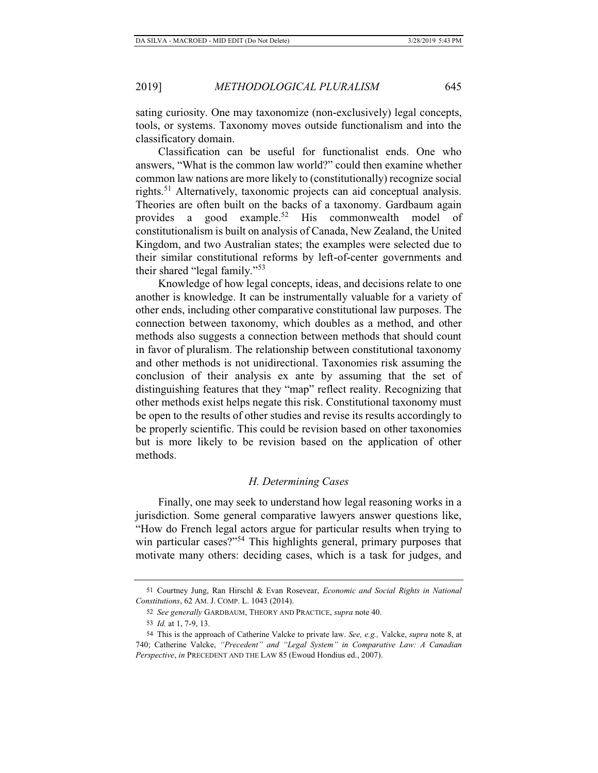sating curiosity. One may taxonomize (non-exclusively) legal concepts, tools, or systems. Taxonomy moves outside functionalism and into the classificatory domain.

Classification can be useful for functionalist ends. One who answers, "What is the common law world?" could then examine whether common law nations are more likely to (constitutionally) recognize social rights.<sup>51</sup> Alternatively, taxonomic projects can aid conceptual analysis. Theories are often built on the backs of a taxonomy. Gardbaum again provides a good example.<sup>52</sup> His commonwealth model of constitutionalism is built on analysis of Canada, New Zealand, the United Kingdom, and two Australian states; the examples were selected due to their similar constitutional reforms by left-of-center governments and their shared "legal family."<sup>53</sup>

Knowledge of how legal concepts, ideas, and decisions relate to one another is knowledge. It can be instrumentally valuable for a variety of other ends, including other comparative constitutional law purposes. The connection between taxonomy, which doubles as a method, and other methods also suggests a connection between methods that should count in favor of pluralism. The relationship between constitutional taxonomy and other methods is not unidirectional. Taxonomies risk assuming the conclusion of their analysis ex ante by assuming that the set of distinguishing features that they "map" reflect reality. Recognizing that other methods exist helps negate this risk. Constitutional taxonomy must be open to the results of other studies and revise its results accordingly to be properly scientific. This could be revision based on other taxonomies but is more likely to be revision based on the application of other methods.

# *H. Determining Cases*

Finally, one may seek to understand how legal reasoning works in a jurisdiction. Some general comparative lawyers answer questions like, "How do French legal actors argue for particular results when trying to win particular cases?"<sup>54</sup> This highlights general, primary purposes that motivate many others: deciding cases, which is a task for judges, and

<sup>51</sup> Courtney Jung, Ran Hirschl & Evan Rosevear, *Economic and Social Rights in National Constitutions*, 62 AM. J. COMP. L. 1043 (2014).

<sup>52</sup> *See generally* GARDBAUM, THEORY AND PRACTICE, *supra* note 40.

<sup>53</sup> *Id.* at 1, 7-9, 13.

<sup>54</sup> This is the approach of Catherine Valcke to private law. *See, e.g.,* Valcke, *supra* note 8, at 740; Catherine Valcke, *"Precedent" and "Legal System" in Comparative Law: A Canadian Perspective*, *in* PRECEDENT AND THE LAW 85 (Ewoud Hondius ed., 2007).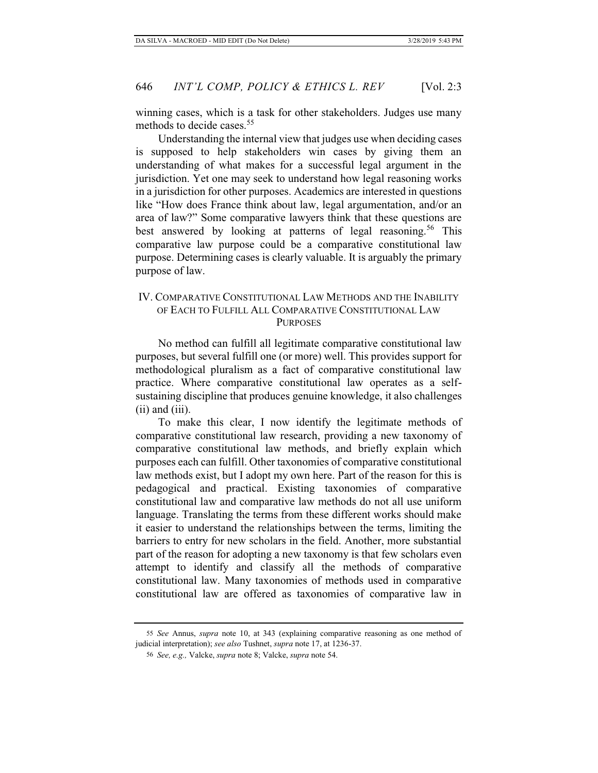winning cases, which is a task for other stakeholders. Judges use many methods to decide cases.<sup>55</sup>

Understanding the internal view that judges use when deciding cases is supposed to help stakeholders win cases by giving them an understanding of what makes for a successful legal argument in the jurisdiction. Yet one may seek to understand how legal reasoning works in a jurisdiction for other purposes. Academics are interested in questions like "How does France think about law, legal argumentation, and/or an area of law?" Some comparative lawyers think that these questions are best answered by looking at patterns of legal reasoning.<sup>56</sup> This comparative law purpose could be a comparative constitutional law purpose. Determining cases is clearly valuable. It is arguably the primary purpose of law.

# IV. COMPARATIVE CONSTITUTIONAL LAW METHODS AND THE INABILITY OF EACH TO FULFILL ALL COMPARATIVE CONSTITUTIONAL LAW **PURPOSES**

No method can fulfill all legitimate comparative constitutional law purposes, but several fulfill one (or more) well. This provides support for methodological pluralism as a fact of comparative constitutional law practice. Where comparative constitutional law operates as a selfsustaining discipline that produces genuine knowledge, it also challenges (ii) and (iii).

To make this clear, I now identify the legitimate methods of comparative constitutional law research, providing a new taxonomy of comparative constitutional law methods, and briefly explain which purposes each can fulfill. Other taxonomies of comparative constitutional law methods exist, but I adopt my own here. Part of the reason for this is pedagogical and practical. Existing taxonomies of comparative constitutional law and comparative law methods do not all use uniform language. Translating the terms from these different works should make it easier to understand the relationships between the terms, limiting the barriers to entry for new scholars in the field. Another, more substantial part of the reason for adopting a new taxonomy is that few scholars even attempt to identify and classify all the methods of comparative constitutional law. Many taxonomies of methods used in comparative constitutional law are offered as taxonomies of comparative law in

<sup>55</sup> *See* Annus, *supra* note 10, at 343 (explaining comparative reasoning as one method of judicial interpretation); *see also* Tushnet, *supra* note 17, at 1236-37.

<sup>56</sup> *See, e.g.,* Valcke, *supra* note 8; Valcke, *supra* note 54.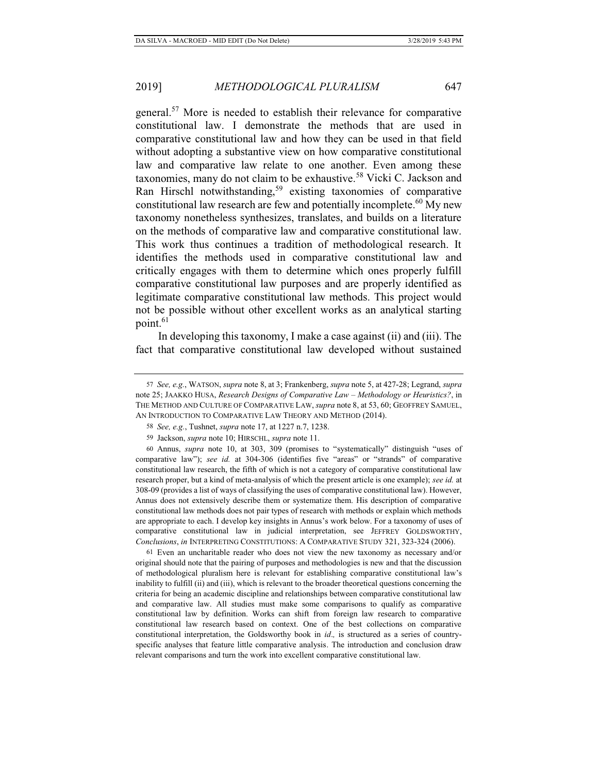general.57 More is needed to establish their relevance for comparative constitutional law. I demonstrate the methods that are used in comparative constitutional law and how they can be used in that field without adopting a substantive view on how comparative constitutional law and comparative law relate to one another. Even among these taxonomies, many do not claim to be exhaustive.<sup>58</sup> Vicki C. Jackson and Ran Hirschl notwithstanding,<sup>59</sup> existing taxonomies of comparative constitutional law research are few and potentially incomplete.<sup>60</sup> My new taxonomy nonetheless synthesizes, translates, and builds on a literature on the methods of comparative law and comparative constitutional law. This work thus continues a tradition of methodological research. It identifies the methods used in comparative constitutional law and critically engages with them to determine which ones properly fulfill comparative constitutional law purposes and are properly identified as legitimate comparative constitutional law methods. This project would not be possible without other excellent works as an analytical starting point.<sup>61</sup>

In developing this taxonomy, I make a case against (ii) and (iii). The fact that comparative constitutional law developed without sustained

60 Annus, *supra* note 10, at 303, 309 (promises to "systematically" distinguish "uses of comparative law"); *see id.* at 304-306 (identifies five "areas" or "strands" of comparative constitutional law research, the fifth of which is not a category of comparative constitutional law research proper, but a kind of meta-analysis of which the present article is one example); *see id.* at 308-09 (provides a list of ways of classifying the uses of comparative constitutional law). However, Annus does not extensively describe them or systematize them. His description of comparative constitutional law methods does not pair types of research with methods or explain which methods are appropriate to each. I develop key insights in Annus's work below. For a taxonomy of uses of comparative constitutional law in judicial interpretation, see JEFFREY GOLDSWORTHY, *Conclusions*, *in* INTERPRETING CONSTITUTIONS: A COMPARATIVE STUDY 321, 323-324 (2006).

61 Even an uncharitable reader who does not view the new taxonomy as necessary and/or original should note that the pairing of purposes and methodologies is new and that the discussion of methodological pluralism here is relevant for establishing comparative constitutional law's inability to fulfill (ii) and (iii), which is relevant to the broader theoretical questions concerning the criteria for being an academic discipline and relationships between comparative constitutional law and comparative law. All studies must make some comparisons to qualify as comparative constitutional law by definition. Works can shift from foreign law research to comparative constitutional law research based on context. One of the best collections on comparative constitutional interpretation, the Goldsworthy book in *id*.*,* is structured as a series of countryspecific analyses that feature little comparative analysis. The introduction and conclusion draw relevant comparisons and turn the work into excellent comparative constitutional law.

<sup>57</sup> *See, e.g.*, WATSON, *supra* note 8, at 3; Frankenberg, *supra* note 5, at 427-28; Legrand, *supra* note 25; JAAKKO HUSA, *Research Designs of Comparative Law – Methodology or Heuristics?*, in THE METHOD AND CULTURE OF COMPARATIVE LAW, *supra* note 8, at 53, 60; GEOFFREY SAMUEL, AN INTRODUCTION TO COMPARATIVE LAW THEORY AND METHOD (2014).

<sup>58</sup> *See, e.g.*, Tushnet, *supra* note 17, at 1227 n.7, 1238.

<sup>59</sup> Jackson, *supra* note 10; HIRSCHL, *supra* note 11.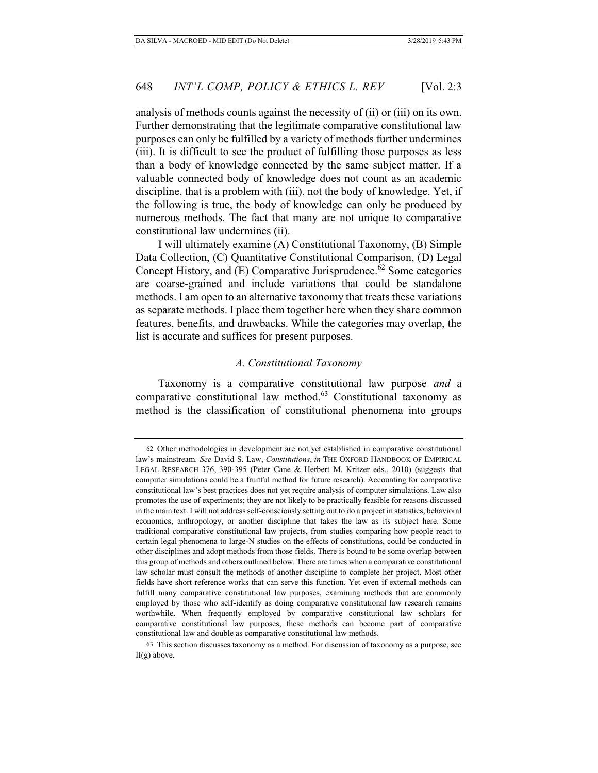analysis of methods counts against the necessity of (ii) or (iii) on its own. Further demonstrating that the legitimate comparative constitutional law purposes can only be fulfilled by a variety of methods further undermines (iii). It is difficult to see the product of fulfilling those purposes as less than a body of knowledge connected by the same subject matter. If a valuable connected body of knowledge does not count as an academic discipline, that is a problem with (iii), not the body of knowledge. Yet, if the following is true, the body of knowledge can only be produced by numerous methods. The fact that many are not unique to comparative constitutional law undermines (ii).

I will ultimately examine (A) Constitutional Taxonomy, (B) Simple Data Collection, (C) Quantitative Constitutional Comparison, (D) Legal Concept History, and (E) Comparative Jurisprudence.<sup>62</sup> Some categories are coarse-grained and include variations that could be standalone methods. I am open to an alternative taxonomy that treats these variations as separate methods. I place them together here when they share common features, benefits, and drawbacks. While the categories may overlap, the list is accurate and suffices for present purposes.

#### *A. Constitutional Taxonomy*

Taxonomy is a comparative constitutional law purpose *and* a comparative constitutional law method.<sup>63</sup> Constitutional taxonomy as method is the classification of constitutional phenomena into groups

<sup>62</sup> Other methodologies in development are not yet established in comparative constitutional law's mainstream. *See* David S. Law, *Constitutions*, *in* THE OXFORD HANDBOOK OF EMPIRICAL LEGAL RESEARCH 376, 390-395 (Peter Cane & Herbert M. Kritzer eds., 2010) (suggests that computer simulations could be a fruitful method for future research). Accounting for comparative constitutional law's best practices does not yet require analysis of computer simulations. Law also promotes the use of experiments; they are not likely to be practically feasible for reasons discussed in the main text. I will not address self-consciously setting out to do a project in statistics, behavioral economics, anthropology, or another discipline that takes the law as its subject here. Some traditional comparative constitutional law projects, from studies comparing how people react to certain legal phenomena to large-N studies on the effects of constitutions, could be conducted in other disciplines and adopt methods from those fields. There is bound to be some overlap between this group of methods and others outlined below. There are times when a comparative constitutional law scholar must consult the methods of another discipline to complete her project. Most other fields have short reference works that can serve this function. Yet even if external methods can fulfill many comparative constitutional law purposes, examining methods that are commonly employed by those who self-identify as doing comparative constitutional law research remains worthwhile. When frequently employed by comparative constitutional law scholars for comparative constitutional law purposes, these methods can become part of comparative constitutional law and double as comparative constitutional law methods.

<sup>63</sup> This section discusses taxonomy as a method. For discussion of taxonomy as a purpose, see II(g) above.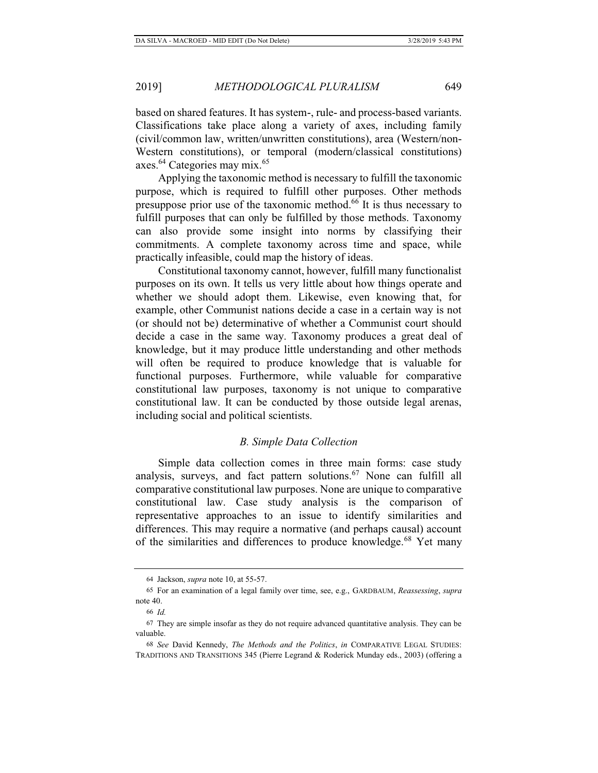based on shared features. It has system-, rule- and process-based variants. Classifications take place along a variety of axes, including family (civil/common law, written/unwritten constitutions), area (Western/non-Western constitutions), or temporal (modern/classical constitutions) axes.<sup>64</sup> Categories may mix.<sup>65</sup>

Applying the taxonomic method is necessary to fulfill the taxonomic purpose, which is required to fulfill other purposes. Other methods presuppose prior use of the taxonomic method.66 It is thus necessary to fulfill purposes that can only be fulfilled by those methods. Taxonomy can also provide some insight into norms by classifying their commitments. A complete taxonomy across time and space, while practically infeasible, could map the history of ideas.

Constitutional taxonomy cannot, however, fulfill many functionalist purposes on its own. It tells us very little about how things operate and whether we should adopt them. Likewise, even knowing that, for example, other Communist nations decide a case in a certain way is not (or should not be) determinative of whether a Communist court should decide a case in the same way. Taxonomy produces a great deal of knowledge, but it may produce little understanding and other methods will often be required to produce knowledge that is valuable for functional purposes. Furthermore, while valuable for comparative constitutional law purposes, taxonomy is not unique to comparative constitutional law. It can be conducted by those outside legal arenas, including social and political scientists.

# *B. Simple Data Collection*

Simple data collection comes in three main forms: case study analysis, surveys, and fact pattern solutions.<sup>67</sup> None can fulfill all comparative constitutional law purposes. None are unique to comparative constitutional law. Case study analysis is the comparison of representative approaches to an issue to identify similarities and differences. This may require a normative (and perhaps causal) account of the similarities and differences to produce knowledge.<sup>68</sup> Yet many

<sup>64</sup> Jackson, *supra* note 10, at 55-57.

<sup>65</sup> For an examination of a legal family over time, see, e.g., GARDBAUM, *Reassessing*, *supra* note 40.

<sup>66</sup> *Id.*

<sup>67</sup> They are simple insofar as they do not require advanced quantitative analysis. They can be valuable.

<sup>68</sup> *See* David Kennedy, *The Methods and the Politics*, *in* COMPARATIVE LEGAL STUDIES: TRADITIONS AND TRANSITIONS 345 (Pierre Legrand & Roderick Munday eds., 2003) (offering a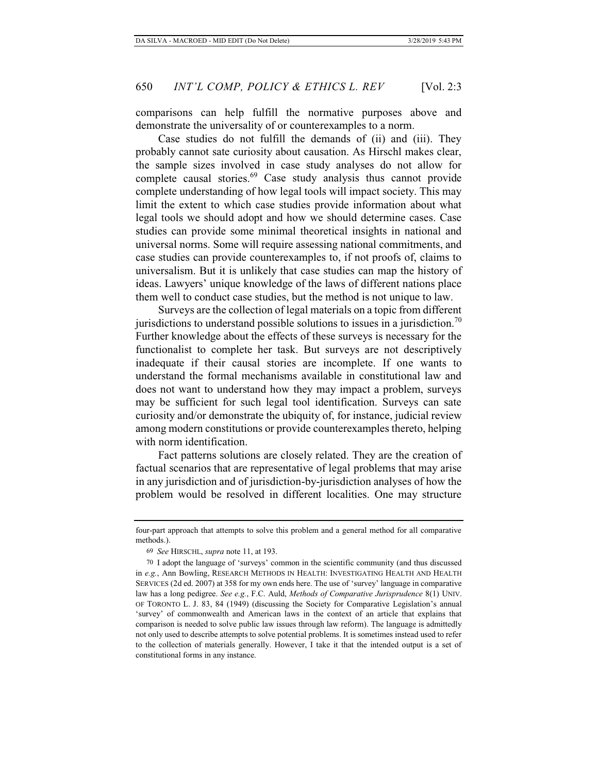comparisons can help fulfill the normative purposes above and demonstrate the universality of or counterexamples to a norm.

Case studies do not fulfill the demands of (ii) and (iii). They probably cannot sate curiosity about causation. As Hirschl makes clear, the sample sizes involved in case study analyses do not allow for complete causal stories.<sup>69</sup> Case study analysis thus cannot provide complete understanding of how legal tools will impact society. This may limit the extent to which case studies provide information about what legal tools we should adopt and how we should determine cases. Case studies can provide some minimal theoretical insights in national and universal norms. Some will require assessing national commitments, and case studies can provide counterexamples to, if not proofs of, claims to universalism. But it is unlikely that case studies can map the history of ideas. Lawyers' unique knowledge of the laws of different nations place them well to conduct case studies, but the method is not unique to law.

Surveys are the collection of legal materials on a topic from different jurisdictions to understand possible solutions to issues in a jurisdiction.<sup>70</sup> Further knowledge about the effects of these surveys is necessary for the functionalist to complete her task. But surveys are not descriptively inadequate if their causal stories are incomplete. If one wants to understand the formal mechanisms available in constitutional law and does not want to understand how they may impact a problem, surveys may be sufficient for such legal tool identification. Surveys can sate curiosity and/or demonstrate the ubiquity of, for instance, judicial review among modern constitutions or provide counterexamples thereto, helping with norm identification.

Fact patterns solutions are closely related. They are the creation of factual scenarios that are representative of legal problems that may arise in any jurisdiction and of jurisdiction-by-jurisdiction analyses of how the problem would be resolved in different localities. One may structure

four-part approach that attempts to solve this problem and a general method for all comparative methods.).

<sup>69</sup> *See* HIRSCHL, *supra* note 11, at 193.

<sup>70</sup> I adopt the language of 'surveys' common in the scientific community (and thus discussed in *e.g.*, Ann Bowling, RESEARCH METHODS IN HEALTH: INVESTIGATING HEALTH AND HEALTH SERVICES (2d ed. 2007) at 358 for my own ends here. The use of 'survey' language in comparative law has a long pedigree. *See e.g.*, F.C. Auld, *Methods of Comparative Jurisprudence* 8(1) UNIV. OF TORONTO L. J. 83, 84 (1949) (discussing the Society for Comparative Legislation's annual 'survey' of commonwealth and American laws in the context of an article that explains that comparison is needed to solve public law issues through law reform). The language is admittedly not only used to describe attempts to solve potential problems. It is sometimes instead used to refer to the collection of materials generally. However, I take it that the intended output is a set of constitutional forms in any instance.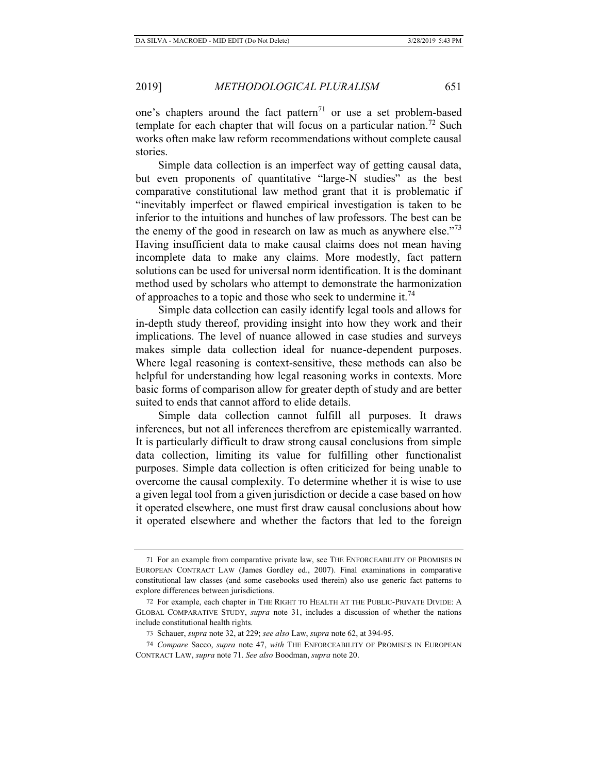one's chapters around the fact pattern<sup>71</sup> or use a set problem-based template for each chapter that will focus on a particular nation.<sup>72</sup> Such works often make law reform recommendations without complete causal stories.

Simple data collection is an imperfect way of getting causal data, but even proponents of quantitative "large-N studies" as the best comparative constitutional law method grant that it is problematic if "inevitably imperfect or flawed empirical investigation is taken to be inferior to the intuitions and hunches of law professors. The best can be the enemy of the good in research on law as much as anywhere else."<sup>73</sup> Having insufficient data to make causal claims does not mean having incomplete data to make any claims. More modestly, fact pattern solutions can be used for universal norm identification. It is the dominant method used by scholars who attempt to demonstrate the harmonization of approaches to a topic and those who seek to undermine it.<sup>74</sup>

Simple data collection can easily identify legal tools and allows for in-depth study thereof, providing insight into how they work and their implications. The level of nuance allowed in case studies and surveys makes simple data collection ideal for nuance-dependent purposes. Where legal reasoning is context-sensitive, these methods can also be helpful for understanding how legal reasoning works in contexts. More basic forms of comparison allow for greater depth of study and are better suited to ends that cannot afford to elide details.

Simple data collection cannot fulfill all purposes. It draws inferences, but not all inferences therefrom are epistemically warranted. It is particularly difficult to draw strong causal conclusions from simple data collection, limiting its value for fulfilling other functionalist purposes. Simple data collection is often criticized for being unable to overcome the causal complexity. To determine whether it is wise to use a given legal tool from a given jurisdiction or decide a case based on how it operated elsewhere, one must first draw causal conclusions about how it operated elsewhere and whether the factors that led to the foreign

<sup>71</sup> For an example from comparative private law, see THE ENFORCEABILITY OF PROMISES IN EUROPEAN CONTRACT LAW (James Gordley ed., 2007). Final examinations in comparative constitutional law classes (and some casebooks used therein) also use generic fact patterns to explore differences between jurisdictions.

<sup>72</sup> For example, each chapter in THE RIGHT TO HEALTH AT THE PUBLIC-PRIVATE DIVIDE: A GLOBAL COMPARATIVE STUDY, *supra* note 31, includes a discussion of whether the nations include constitutional health rights.

<sup>73</sup> Schauer, *supra* note 32, at 229; *see also* Law, *supra* note 62, at 394-95.

<sup>74</sup> *Compare* Sacco, *supra* note 47, *with* THE ENFORCEABILITY OF PROMISES IN EUROPEAN CONTRACT LAW, *supra* note 71. *See also* Boodman, *supra* note 20.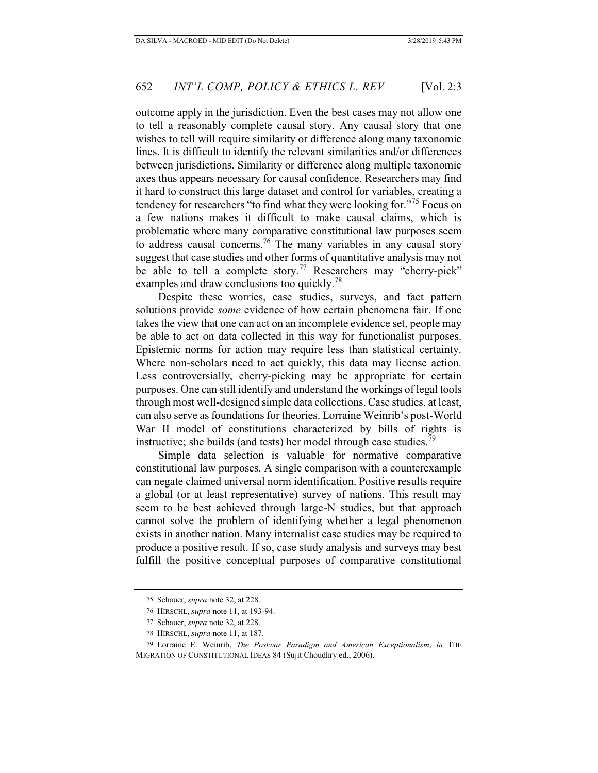outcome apply in the jurisdiction. Even the best cases may not allow one to tell a reasonably complete causal story. Any causal story that one wishes to tell will require similarity or difference along many taxonomic lines. It is difficult to identify the relevant similarities and/or differences between jurisdictions. Similarity or difference along multiple taxonomic axes thus appears necessary for causal confidence. Researchers may find it hard to construct this large dataset and control for variables, creating a tendency for researchers "to find what they were looking for."75 Focus on

a few nations makes it difficult to make causal claims, which is problematic where many comparative constitutional law purposes seem to address causal concerns.<sup>76</sup> The many variables in any causal story suggest that case studies and other forms of quantitative analysis may not be able to tell a complete story.<sup>77</sup> Researchers may "cherry-pick" examples and draw conclusions too quickly.<sup>78</sup>

Despite these worries, case studies, surveys, and fact pattern solutions provide *some* evidence of how certain phenomena fair. If one takes the view that one can act on an incomplete evidence set, people may be able to act on data collected in this way for functionalist purposes. Epistemic norms for action may require less than statistical certainty. Where non-scholars need to act quickly, this data may license action. Less controversially, cherry-picking may be appropriate for certain purposes. One can still identify and understand the workings of legal tools through most well-designed simple data collections. Case studies, at least, can also serve as foundations for theories. Lorraine Weinrib's post-World War II model of constitutions characterized by bills of rights is instructive; she builds (and tests) her model through case studies.<sup>79</sup>

Simple data selection is valuable for normative comparative constitutional law purposes. A single comparison with a counterexample can negate claimed universal norm identification. Positive results require a global (or at least representative) survey of nations. This result may seem to be best achieved through large-N studies, but that approach cannot solve the problem of identifying whether a legal phenomenon exists in another nation. Many internalist case studies may be required to produce a positive result. If so, case study analysis and surveys may best fulfill the positive conceptual purposes of comparative constitutional

<sup>75</sup> Schauer, *supra* note 32, at 228.

<sup>76</sup> HIRSCHL, *supra* note 11, at 193-94.

<sup>77</sup> Schauer, *supra* note 32, at 228.

<sup>78</sup> HIRSCHL, *supra* note 11, at 187.

<sup>79</sup> Lorraine E. Weinrib, *The Postwar Paradigm and American Exceptionalism*, *in* THE MIGRATION OF CONSTITUTIONAL IDEAS 84 (Sujit Choudhry ed., 2006).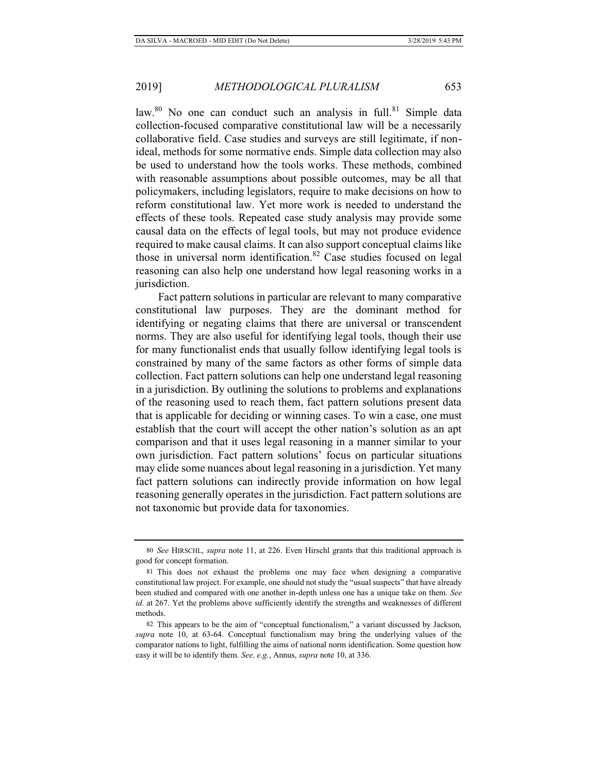law.<sup>80</sup> No one can conduct such an analysis in full.<sup>81</sup> Simple data collection-focused comparative constitutional law will be a necessarily collaborative field. Case studies and surveys are still legitimate, if nonideal, methods for some normative ends. Simple data collection may also be used to understand how the tools works. These methods, combined with reasonable assumptions about possible outcomes, may be all that policymakers, including legislators, require to make decisions on how to reform constitutional law. Yet more work is needed to understand the effects of these tools. Repeated case study analysis may provide some causal data on the effects of legal tools, but may not produce evidence required to make causal claims. It can also support conceptual claims like those in universal norm identification.<sup>82</sup> Case studies focused on legal reasoning can also help one understand how legal reasoning works in a jurisdiction.

Fact pattern solutions in particular are relevant to many comparative constitutional law purposes. They are the dominant method for identifying or negating claims that there are universal or transcendent norms. They are also useful for identifying legal tools, though their use for many functionalist ends that usually follow identifying legal tools is constrained by many of the same factors as other forms of simple data collection. Fact pattern solutions can help one understand legal reasoning in a jurisdiction. By outlining the solutions to problems and explanations of the reasoning used to reach them, fact pattern solutions present data that is applicable for deciding or winning cases. To win a case, one must establish that the court will accept the other nation's solution as an apt comparison and that it uses legal reasoning in a manner similar to your own jurisdiction. Fact pattern solutions' focus on particular situations may elide some nuances about legal reasoning in a jurisdiction. Yet many fact pattern solutions can indirectly provide information on how legal reasoning generally operates in the jurisdiction. Fact pattern solutions are not taxonomic but provide data for taxonomies.

<sup>80</sup> *See* HIRSCHL, *supra* note 11, at 226. Even Hirschl grants that this traditional approach is good for concept formation.

<sup>81</sup> This does not exhaust the problems one may face when designing a comparative constitutional law project. For example, one should not study the "usual suspects" that have already been studied and compared with one another in-depth unless one has a unique take on them. *See id.* at 267. Yet the problems above sufficiently identify the strengths and weaknesses of different methods.

<sup>82</sup> This appears to be the aim of "conceptual functionalism," a variant discussed by Jackson, *supra* note 10, at 63-64. Conceptual functionalism may bring the underlying values of the comparator nations to light, fulfilling the aims of national norm identification. Some question how easy it will be to identify them. *See, e.g.*, Annus, *supra* note 10, at 336.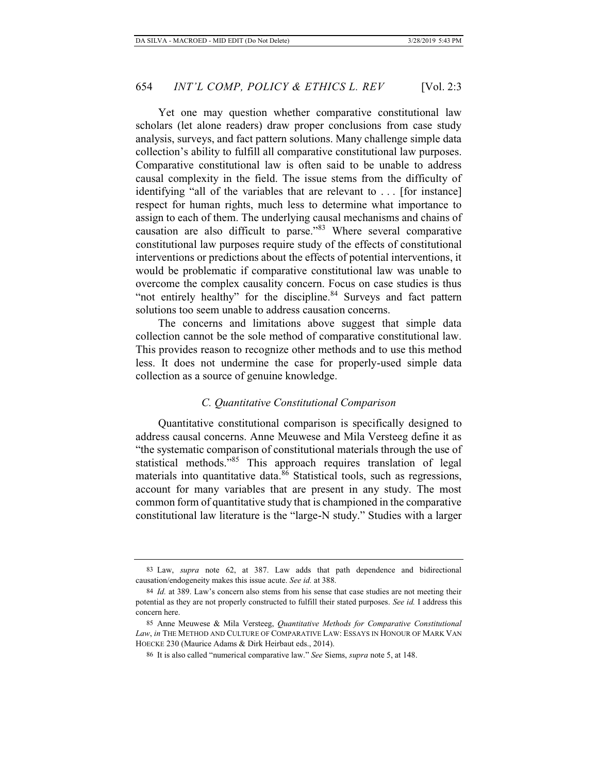Yet one may question whether comparative constitutional law scholars (let alone readers) draw proper conclusions from case study analysis, surveys, and fact pattern solutions. Many challenge simple data collection's ability to fulfill all comparative constitutional law purposes. Comparative constitutional law is often said to be unable to address causal complexity in the field. The issue stems from the difficulty of identifying "all of the variables that are relevant to . . . [for instance] respect for human rights, much less to determine what importance to assign to each of them. The underlying causal mechanisms and chains of causation are also difficult to parse."83 Where several comparative constitutional law purposes require study of the effects of constitutional interventions or predictions about the effects of potential interventions, it would be problematic if comparative constitutional law was unable to overcome the complex causality concern. Focus on case studies is thus "not entirely healthy" for the discipline.<sup>84</sup> Surveys and fact pattern solutions too seem unable to address causation concerns.

The concerns and limitations above suggest that simple data collection cannot be the sole method of comparative constitutional law. This provides reason to recognize other methods and to use this method less. It does not undermine the case for properly-used simple data collection as a source of genuine knowledge.

# *C. Quantitative Constitutional Comparison*

Quantitative constitutional comparison is specifically designed to address causal concerns. Anne Meuwese and Mila Versteeg define it as "the systematic comparison of constitutional materials through the use of statistical methods."85 This approach requires translation of legal materials into quantitative data. $86$  Statistical tools, such as regressions, account for many variables that are present in any study. The most common form of quantitative study that is championed in the comparative constitutional law literature is the "large-N study." Studies with a larger

<sup>83</sup> Law, *supra* note 62, at 387. Law adds that path dependence and bidirectional causation/endogeneity makes this issue acute. *See id.* at 388.

<sup>84</sup> *Id.* at 389. Law's concern also stems from his sense that case studies are not meeting their potential as they are not properly constructed to fulfill their stated purposes. *See id.* I address this concern here.

<sup>85</sup> Anne Meuwese & Mila Versteeg, *Quantitative Methods for Comparative Constitutional Law*, *in* THE METHOD AND CULTURE OF COMPARATIVE LAW: ESSAYS IN HONOUR OF MARK VAN HOECKE 230 (Maurice Adams & Dirk Heirbaut eds., 2014).

<sup>86</sup> It is also called "numerical comparative law." *See* Siems, *supra* note 5, at 148.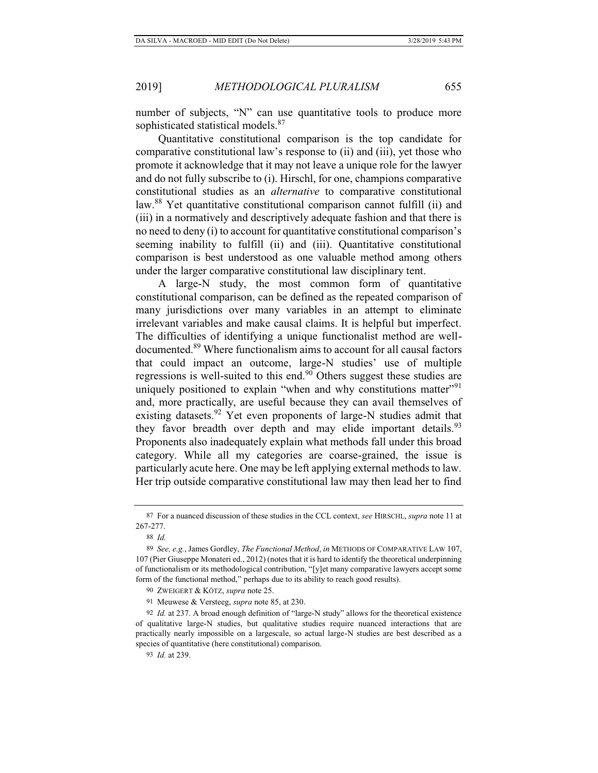number of subjects, "N" can use quantitative tools to produce more sophisticated statistical models.<sup>87</sup>

Quantitative constitutional comparison is the top candidate for comparative constitutional law's response to (ii) and (iii), yet those who promote it acknowledge that it may not leave a unique role for the lawyer and do not fully subscribe to (i). Hirschl, for one, champions comparative constitutional studies as an *alternative* to comparative constitutional law.<sup>88</sup> Yet quantitative constitutional comparison cannot fulfill (ii) and (iii) in a normatively and descriptively adequate fashion and that there is no need to deny (i) to account for quantitative constitutional comparison's seeming inability to fulfill (ii) and (iii). Quantitative constitutional comparison is best understood as one valuable method among others under the larger comparative constitutional law disciplinary tent.

A large-N study, the most common form of quantitative constitutional comparison, can be defined as the repeated comparison of many jurisdictions over many variables in an attempt to eliminate irrelevant variables and make causal claims. It is helpful but imperfect. The difficulties of identifying a unique functionalist method are welldocumented.89 Where functionalism aims to account for all causal factors that could impact an outcome, large-N studies' use of multiple regressions is well-suited to this end.<sup>90</sup> Others suggest these studies are uniquely positioned to explain "when and why constitutions matter"<sup>91</sup> and, more practically, are useful because they can avail themselves of existing datasets.<sup>92</sup> Yet even proponents of large-N studies admit that they favor breadth over depth and may elide important details.<sup>93</sup> Proponents also inadequately explain what methods fall under this broad category. While all my categories are coarse-grained, the issue is particularly acute here. One may be left applying external methods to law. Her trip outside comparative constitutional law may then lead her to find

90 ZWEIGERT & KÖTZ, *supra* note 25.

91 Meuwese & Versteeg, *supra* note 85, at 230.

<sup>87</sup> For a nuanced discussion of these studies in the CCL context, *see* HIRSCHL, *supra* note 11 at 267-277.

<sup>88</sup> *Id.*

<sup>89</sup> *See, e.g.*, James Gordley, *The Functional Method*, *in* METHODS OF COMPARATIVE LAW 107, 107 (Pier Giuseppe Monateri ed., 2012) (notes that it is hard to identify the theoretical underpinning of functionalism or its methodological contribution, "[y]et many comparative lawyers accept some form of the functional method," perhaps due to its ability to reach good results).

<sup>92</sup> *Id.* at 237. A broad enough definition of "large-N study" allows for the theoretical existence of qualitative large-N studies, but qualitative studies require nuanced interactions that are practically nearly impossible on a largescale, so actual large-N studies are best described as a species of quantitative (here constitutional) comparison.

<sup>93</sup> *Id.* at 239.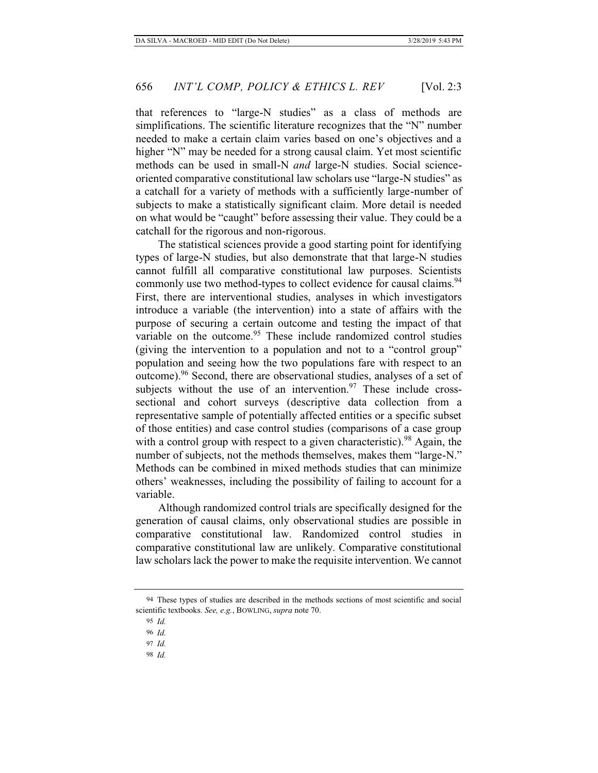simplifications. The scientific literature recognizes that the "N" number needed to make a certain claim varies based on one's objectives and a higher "N" may be needed for a strong causal claim. Yet most scientific methods can be used in small-N *and* large-N studies. Social scienceoriented comparative constitutional law scholars use "large-N studies" as a catchall for a variety of methods with a sufficiently large-number of subjects to make a statistically significant claim. More detail is needed on what would be "caught" before assessing their value. They could be a catchall for the rigorous and non-rigorous.

The statistical sciences provide a good starting point for identifying types of large-N studies, but also demonstrate that that large-N studies cannot fulfill all comparative constitutional law purposes. Scientists commonly use two method-types to collect evidence for causal claims.<sup>94</sup> First, there are interventional studies, analyses in which investigators introduce a variable (the intervention) into a state of affairs with the purpose of securing a certain outcome and testing the impact of that variable on the outcome.<sup>95</sup> These include randomized control studies (giving the intervention to a population and not to a "control group" population and seeing how the two populations fare with respect to an outcome).96 Second, there are observational studies, analyses of a set of subjects without the use of an intervention. $97$  These include crosssectional and cohort surveys (descriptive data collection from a representative sample of potentially affected entities or a specific subset of those entities) and case control studies (comparisons of a case group with a control group with respect to a given characteristic).<sup>98</sup> Again, the number of subjects, not the methods themselves, makes them "large-N." Methods can be combined in mixed methods studies that can minimize others' weaknesses, including the possibility of failing to account for a variable.

Although randomized control trials are specifically designed for the generation of causal claims, only observational studies are possible in comparative constitutional law. Randomized control studies in comparative constitutional law are unlikely. Comparative constitutional law scholars lack the power to make the requisite intervention. We cannot

98 *Id.*

<sup>94</sup> These types of studies are described in the methods sections of most scientific and social scientific textbooks. *See, e.g.*, BOWLING, *supra* note 70.

<sup>95</sup> *Id.*

<sup>96</sup> *Id.*

<sup>97</sup> *Id.*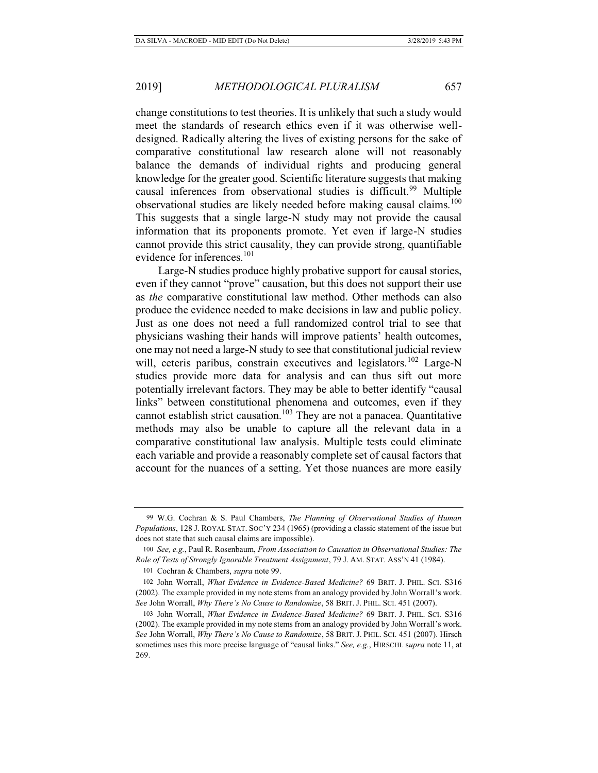change constitutions to test theories. It is unlikely that such a study would meet the standards of research ethics even if it was otherwise welldesigned. Radically altering the lives of existing persons for the sake of comparative constitutional law research alone will not reasonably balance the demands of individual rights and producing general knowledge for the greater good. Scientific literature suggests that making causal inferences from observational studies is difficult.<sup>99</sup> Multiple observational studies are likely needed before making causal claims.<sup>100</sup> This suggests that a single large-N study may not provide the causal information that its proponents promote. Yet even if large-N studies cannot provide this strict causality, they can provide strong, quantifiable evidence for inferences.<sup>101</sup>

Large-N studies produce highly probative support for causal stories, even if they cannot "prove" causation, but this does not support their use as *the* comparative constitutional law method. Other methods can also produce the evidence needed to make decisions in law and public policy. Just as one does not need a full randomized control trial to see that physicians washing their hands will improve patients' health outcomes, one may not need a large-N study to see that constitutional judicial review will, ceteris paribus, constrain executives and legislators.<sup>102</sup> Large-N studies provide more data for analysis and can thus sift out more potentially irrelevant factors. They may be able to better identify "causal links" between constitutional phenomena and outcomes, even if they cannot establish strict causation.<sup>103</sup> They are not a panacea. Quantitative methods may also be unable to capture all the relevant data in a comparative constitutional law analysis. Multiple tests could eliminate each variable and provide a reasonably complete set of causal factors that account for the nuances of a setting. Yet those nuances are more easily

101 Cochran & Chambers, *supra* note 99.

<sup>99</sup> W.G. Cochran & S. Paul Chambers, *The Planning of Observational Studies of Human Populations*, 128 J. ROYAL STAT. SOC'Y 234 (1965) (providing a classic statement of the issue but does not state that such causal claims are impossible).

<sup>100</sup> *See, e.g.*, Paul R. Rosenbaum, *From Association to Causation in Observational Studies: The Role of Tests of Strongly Ignorable Treatment Assignment*, 79 J. AM. STAT. ASS'N 41 (1984).

<sup>102</sup> John Worrall, *What Evidence in Evidence-Based Medicine?* 69 BRIT. J. PHIL. SCI. S316 (2002). The example provided in my note stems from an analogy provided by John Worrall's work. *See* John Worrall, *Why There's No Cause to Randomize*, 58 BRIT. J. PHIL. SCI. 451 (2007).

<sup>103</sup> John Worrall, *What Evidence in Evidence-Based Medicine?* 69 BRIT. J. PHIL. SCI. S316 (2002). The example provided in my note stems from an analogy provided by John Worrall's work. *See* John Worrall, *Why There's No Cause to Randomize*, 58 BRIT. J. PHIL. SCI. 451 (2007). Hirsch sometimes uses this more precise language of "causal links." *See, e.g.*, HIRSCHL s*upra* note 11, at 269.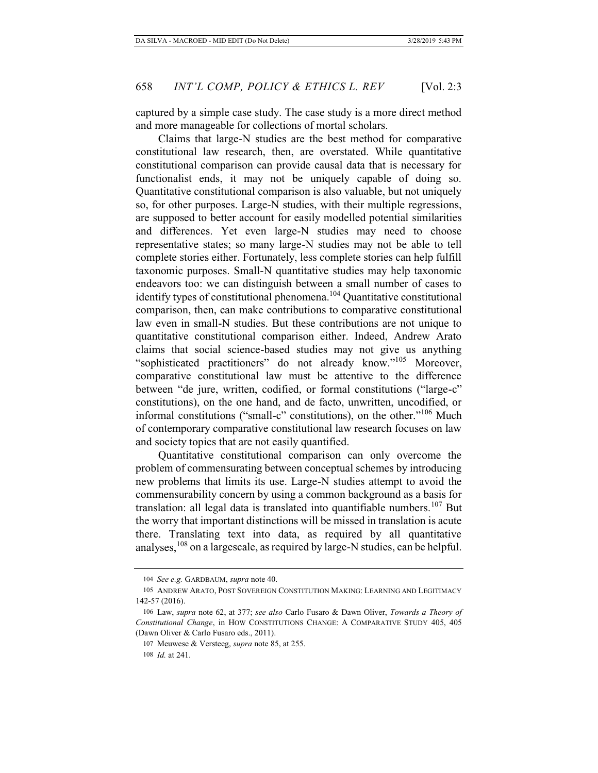captured by a simple case study. The case study is a more direct method and more manageable for collections of mortal scholars.

Claims that large-N studies are the best method for comparative constitutional law research, then, are overstated. While quantitative constitutional comparison can provide causal data that is necessary for functionalist ends, it may not be uniquely capable of doing so. Quantitative constitutional comparison is also valuable, but not uniquely so, for other purposes. Large-N studies, with their multiple regressions, are supposed to better account for easily modelled potential similarities and differences. Yet even large-N studies may need to choose representative states; so many large-N studies may not be able to tell complete stories either. Fortunately, less complete stories can help fulfill taxonomic purposes. Small-N quantitative studies may help taxonomic endeavors too: we can distinguish between a small number of cases to identify types of constitutional phenomena.<sup>104</sup> Quantitative constitutional comparison, then, can make contributions to comparative constitutional law even in small-N studies. But these contributions are not unique to quantitative constitutional comparison either. Indeed, Andrew Arato claims that social science-based studies may not give us anything "sophisticated practitioners" do not already know."105 Moreover, comparative constitutional law must be attentive to the difference between "de jure, written, codified, or formal constitutions ("large-c" constitutions), on the one hand, and de facto, unwritten, uncodified, or informal constitutions ("small-c" constitutions), on the other."106 Much of contemporary comparative constitutional law research focuses on law and society topics that are not easily quantified.

Quantitative constitutional comparison can only overcome the problem of commensurating between conceptual schemes by introducing new problems that limits its use. Large-N studies attempt to avoid the commensurability concern by using a common background as a basis for translation: all legal data is translated into quantifiable numbers.<sup>107</sup> But the worry that important distinctions will be missed in translation is acute there. Translating text into data, as required by all quantitative analyses,  $108$  on a largescale, as required by large-N studies, can be helpful.

<sup>104</sup> *See e.g.* GARDBAUM, *supra* note 40.

<sup>105</sup> ANDREW ARATO, POST SOVEREIGN CONSTITUTION MAKING: LEARNING AND LEGITIMACY 142-57 (2016).

<sup>106</sup> Law, *supra* note 62, at 377; *see also* Carlo Fusaro & Dawn Oliver, *Towards a Theory of Constitutional Change*, in HOW CONSTITUTIONS CHANGE: A COMPARATIVE STUDY 405, 405 (Dawn Oliver & Carlo Fusaro eds., 2011).

<sup>107</sup> Meuwese & Versteeg, *supra* note 85, at 255. 108 *Id.* at 241.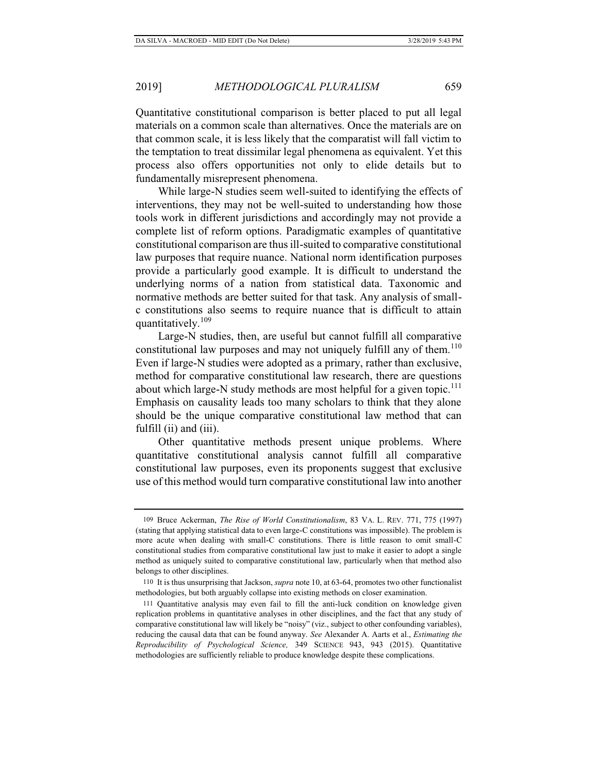Quantitative constitutional comparison is better placed to put all legal materials on a common scale than alternatives. Once the materials are on that common scale, it is less likely that the comparatist will fall victim to the temptation to treat dissimilar legal phenomena as equivalent. Yet this process also offers opportunities not only to elide details but to fundamentally misrepresent phenomena.

While large-N studies seem well-suited to identifying the effects of interventions, they may not be well-suited to understanding how those tools work in different jurisdictions and accordingly may not provide a complete list of reform options. Paradigmatic examples of quantitative constitutional comparison are thus ill-suited to comparative constitutional law purposes that require nuance. National norm identification purposes provide a particularly good example. It is difficult to understand the underlying norms of a nation from statistical data. Taxonomic and normative methods are better suited for that task. Any analysis of smallc constitutions also seems to require nuance that is difficult to attain quantitatively.<sup>109</sup>

Large-N studies, then, are useful but cannot fulfill all comparative constitutional law purposes and may not uniquely fulfill any of them.<sup>110</sup> Even if large-N studies were adopted as a primary, rather than exclusive, method for comparative constitutional law research, there are questions about which large-N study methods are most helpful for a given topic.<sup>111</sup> Emphasis on causality leads too many scholars to think that they alone should be the unique comparative constitutional law method that can fulfill (ii) and (iii).

Other quantitative methods present unique problems. Where quantitative constitutional analysis cannot fulfill all comparative constitutional law purposes, even its proponents suggest that exclusive use of this method would turn comparative constitutional law into another

<sup>109</sup> Bruce Ackerman, *The Rise of World Constitutionalism*, 83 VA. L. REV. 771, 775 (1997) (stating that applying statistical data to even large-C constitutions was impossible). The problem is more acute when dealing with small-C constitutions. There is little reason to omit small-C constitutional studies from comparative constitutional law just to make it easier to adopt a single method as uniquely suited to comparative constitutional law, particularly when that method also belongs to other disciplines.

<sup>110</sup> It is thus unsurprising that Jackson, *supra* note 10, at 63-64, promotes two other functionalist methodologies, but both arguably collapse into existing methods on closer examination.

<sup>111</sup> Quantitative analysis may even fail to fill the anti-luck condition on knowledge given replication problems in quantitative analyses in other disciplines, and the fact that any study of comparative constitutional law will likely be "noisy" (viz., subject to other confounding variables), reducing the causal data that can be found anyway. *See* Alexander A. Aarts et al., *Estimating the Reproducibility of Psychological Science,* 349 SCIENCE 943, 943 (2015). Quantitative methodologies are sufficiently reliable to produce knowledge despite these complications.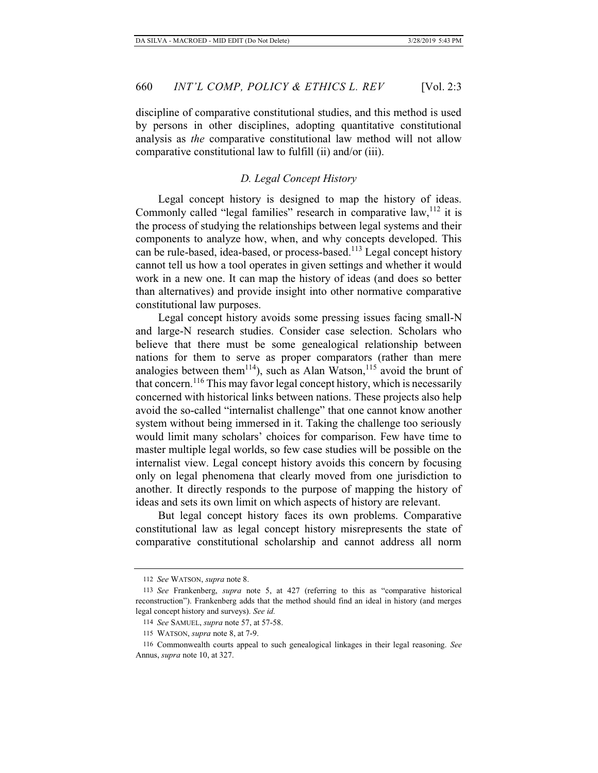discipline of comparative constitutional studies, and this method is used by persons in other disciplines, adopting quantitative constitutional analysis as *the* comparative constitutional law method will not allow comparative constitutional law to fulfill (ii) and/or (iii).

### *D. Legal Concept History*

Legal concept history is designed to map the history of ideas. Commonly called "legal families" research in comparative  $law$ ,  $112$  it is the process of studying the relationships between legal systems and their components to analyze how, when, and why concepts developed. This can be rule-based, idea-based, or process-based.<sup>113</sup> Legal concept history cannot tell us how a tool operates in given settings and whether it would work in a new one. It can map the history of ideas (and does so better than alternatives) and provide insight into other normative comparative constitutional law purposes.

Legal concept history avoids some pressing issues facing small-N and large-N research studies. Consider case selection. Scholars who believe that there must be some genealogical relationship between nations for them to serve as proper comparators (rather than mere analogies between them<sup>114</sup>), such as Alan Watson,<sup>115</sup> avoid the brunt of that concern.116 This may favor legal concept history, which is necessarily concerned with historical links between nations. These projects also help avoid the so-called "internalist challenge" that one cannot know another system without being immersed in it. Taking the challenge too seriously would limit many scholars' choices for comparison. Few have time to master multiple legal worlds, so few case studies will be possible on the internalist view. Legal concept history avoids this concern by focusing only on legal phenomena that clearly moved from one jurisdiction to another. It directly responds to the purpose of mapping the history of ideas and sets its own limit on which aspects of history are relevant.

But legal concept history faces its own problems. Comparative constitutional law as legal concept history misrepresents the state of comparative constitutional scholarship and cannot address all norm

<sup>112</sup> *See* WATSON, *supra* note 8.

<sup>113</sup> *See* Frankenberg, *supra* note 5, at 427 (referring to this as "comparative historical reconstruction"). Frankenberg adds that the method should find an ideal in history (and merges legal concept history and surveys). *See id.* 

<sup>114</sup> *See* SAMUEL, *supra* note 57, at 57-58.

<sup>115</sup> WATSON, *supra* note 8, at 7-9.

<sup>116</sup> Commonwealth courts appeal to such genealogical linkages in their legal reasoning. *See*  Annus, *supra* note 10, at 327.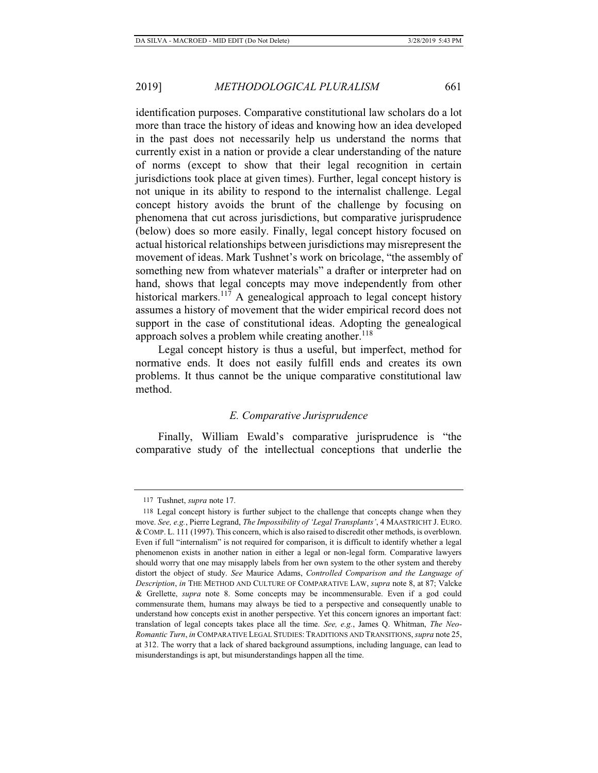identification purposes. Comparative constitutional law scholars do a lot more than trace the history of ideas and knowing how an idea developed in the past does not necessarily help us understand the norms that currently exist in a nation or provide a clear understanding of the nature of norms (except to show that their legal recognition in certain jurisdictions took place at given times). Further, legal concept history is not unique in its ability to respond to the internalist challenge. Legal concept history avoids the brunt of the challenge by focusing on phenomena that cut across jurisdictions, but comparative jurisprudence (below) does so more easily. Finally, legal concept history focused on actual historical relationships between jurisdictions may misrepresent the movement of ideas. Mark Tushnet's work on bricolage, "the assembly of something new from whatever materials" a drafter or interpreter had on hand, shows that legal concepts may move independently from other historical markers.<sup>117</sup> A genealogical approach to legal concept history assumes a history of movement that the wider empirical record does not support in the case of constitutional ideas. Adopting the genealogical approach solves a problem while creating another. $118$ 

Legal concept history is thus a useful, but imperfect, method for normative ends. It does not easily fulfill ends and creates its own problems. It thus cannot be the unique comparative constitutional law method.

#### *E. Comparative Jurisprudence*

Finally, William Ewald's comparative jurisprudence is "the comparative study of the intellectual conceptions that underlie the

<sup>117</sup> Tushnet, *supra* note 17.

<sup>118</sup> Legal concept history is further subject to the challenge that concepts change when they move. *See, e.g.*, Pierre Legrand, *The Impossibility of 'Legal Transplants'*, 4 MAASTRICHT J. EURO. & COMP. L. 111 (1997). This concern, which is also raised to discredit other methods, is overblown. Even if full "internalism" is not required for comparison, it is difficult to identify whether a legal phenomenon exists in another nation in either a legal or non-legal form. Comparative lawyers should worry that one may misapply labels from her own system to the other system and thereby distort the object of study. *See* Maurice Adams, *Controlled Comparison and the Language of Description*, *in* THE METHOD AND CULTURE OF COMPARATIVE LAW, *supra* note 8, at 87; Valcke & Grellette, *supra* note 8. Some concepts may be incommensurable. Even if a god could commensurate them, humans may always be tied to a perspective and consequently unable to understand how concepts exist in another perspective. Yet this concern ignores an important fact: translation of legal concepts takes place all the time. *See, e.g.*, James Q. Whitman, *The Neo-Romantic Turn*, *in* COMPARATIVE LEGAL STUDIES: TRADITIONS AND TRANSITIONS, *supra* note 25, at 312. The worry that a lack of shared background assumptions, including language, can lead to misunderstandings is apt, but misunderstandings happen all the time.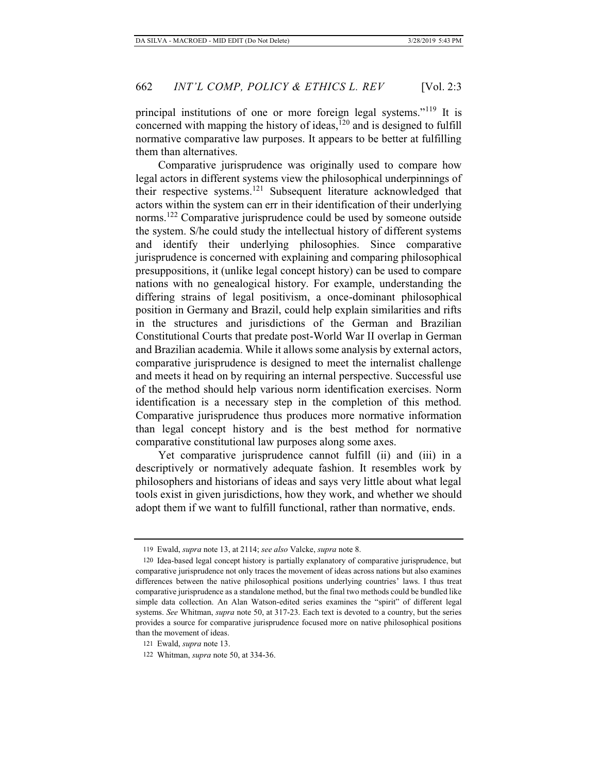principal institutions of one or more foreign legal systems."<sup>119</sup> It is concerned with mapping the history of ideas,<sup>120</sup> and is designed to fulfill normative comparative law purposes. It appears to be better at fulfilling them than alternatives.

Comparative jurisprudence was originally used to compare how legal actors in different systems view the philosophical underpinnings of their respective systems.121 Subsequent literature acknowledged that actors within the system can err in their identification of their underlying norms.<sup>122</sup> Comparative jurisprudence could be used by someone outside the system. S/he could study the intellectual history of different systems and identify their underlying philosophies. Since comparative jurisprudence is concerned with explaining and comparing philosophical presuppositions, it (unlike legal concept history) can be used to compare nations with no genealogical history. For example, understanding the differing strains of legal positivism, a once-dominant philosophical position in Germany and Brazil, could help explain similarities and rifts in the structures and jurisdictions of the German and Brazilian Constitutional Courts that predate post-World War II overlap in German and Brazilian academia. While it allows some analysis by external actors, comparative jurisprudence is designed to meet the internalist challenge and meets it head on by requiring an internal perspective. Successful use of the method should help various norm identification exercises. Norm identification is a necessary step in the completion of this method. Comparative jurisprudence thus produces more normative information than legal concept history and is the best method for normative comparative constitutional law purposes along some axes.

Yet comparative jurisprudence cannot fulfill (ii) and (iii) in a descriptively or normatively adequate fashion. It resembles work by philosophers and historians of ideas and says very little about what legal tools exist in given jurisdictions, how they work, and whether we should adopt them if we want to fulfill functional, rather than normative, ends.

<sup>119</sup> Ewald, *supra* note 13, at 2114; *see also* Valcke, *supra* note 8.

<sup>120</sup> Idea-based legal concept history is partially explanatory of comparative jurisprudence, but comparative jurisprudence not only traces the movement of ideas across nations but also examines differences between the native philosophical positions underlying countries' laws. I thus treat comparative jurisprudence as a standalone method, but the final two methods could be bundled like simple data collection. An Alan Watson-edited series examines the "spirit" of different legal systems. *See* Whitman, *supra* note 50, at 317-23. Each text is devoted to a country, but the series provides a source for comparative jurisprudence focused more on native philosophical positions than the movement of ideas.

<sup>121</sup> Ewald, *supra* note 13.

<sup>122</sup> Whitman, *supra* note 50, at 334-36.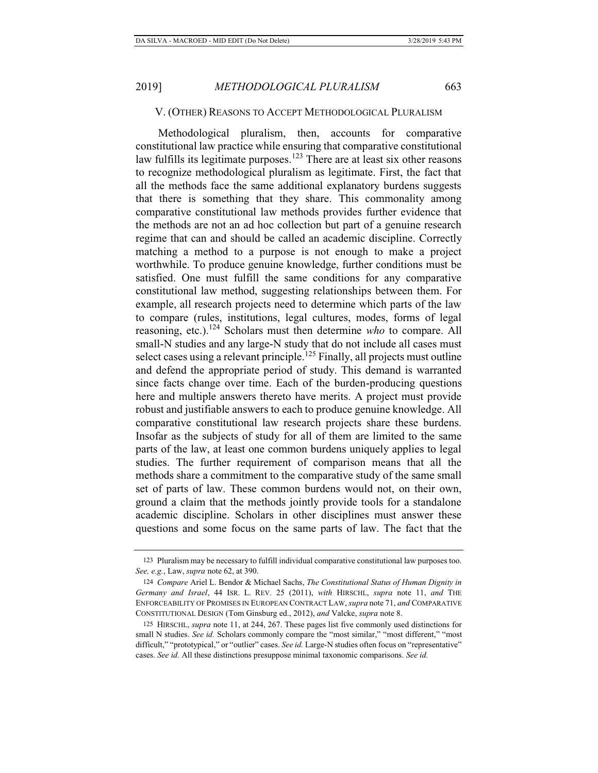#### V. (OTHER) REASONS TO ACCEPT METHODOLOGICAL PLURALISM

Methodological pluralism, then, accounts for comparative constitutional law practice while ensuring that comparative constitutional law fulfills its legitimate purposes.<sup>123</sup> There are at least six other reasons to recognize methodological pluralism as legitimate. First, the fact that all the methods face the same additional explanatory burdens suggests that there is something that they share. This commonality among comparative constitutional law methods provides further evidence that the methods are not an ad hoc collection but part of a genuine research regime that can and should be called an academic discipline. Correctly matching a method to a purpose is not enough to make a project worthwhile. To produce genuine knowledge, further conditions must be satisfied. One must fulfill the same conditions for any comparative constitutional law method, suggesting relationships between them. For example, all research projects need to determine which parts of the law to compare (rules, institutions, legal cultures, modes, forms of legal reasoning, etc.).124 Scholars must then determine *who* to compare. All small-N studies and any large-N study that do not include all cases must select cases using a relevant principle.<sup>125</sup> Finally, all projects must outline and defend the appropriate period of study. This demand is warranted since facts change over time. Each of the burden-producing questions here and multiple answers thereto have merits. A project must provide robust and justifiable answers to each to produce genuine knowledge. All comparative constitutional law research projects share these burdens. Insofar as the subjects of study for all of them are limited to the same parts of the law, at least one common burdens uniquely applies to legal studies. The further requirement of comparison means that all the methods share a commitment to the comparative study of the same small set of parts of law. These common burdens would not, on their own, ground a claim that the methods jointly provide tools for a standalone academic discipline. Scholars in other disciplines must answer these questions and some focus on the same parts of law. The fact that the

<sup>123</sup> Pluralism may be necessary to fulfill individual comparative constitutional law purposes too. *See, e.g.*, Law, *supra* note 62, at 390.

<sup>124</sup> *Compare* Ariel L. Bendor & Michael Sachs, *The Constitutional Status of Human Dignity in Germany and Israel*, 44 ISR. L. REV. 25 (2011), *with* HIRSCHL, *supra* note 11, *and* THE ENFORCEABILITY OF PROMISES IN EUROPEAN CONTRACT LAW, *supra* note 71, *and* COMPARATIVE CONSTITUTIONAL DESIGN (Tom Ginsburg ed., 2012), *and* Valcke, *supra* note 8.

<sup>125</sup> HIRSCHL, *supra* note 11, at 244, 267. These pages list five commonly used distinctions for small N studies. *See id.* Scholars commonly compare the "most similar," "most different," "most difficult," "prototypical," or "outlier" cases. *See id.* Large-N studies often focus on "representative" cases. *See id.* All these distinctions presuppose minimal taxonomic comparisons. *See id.*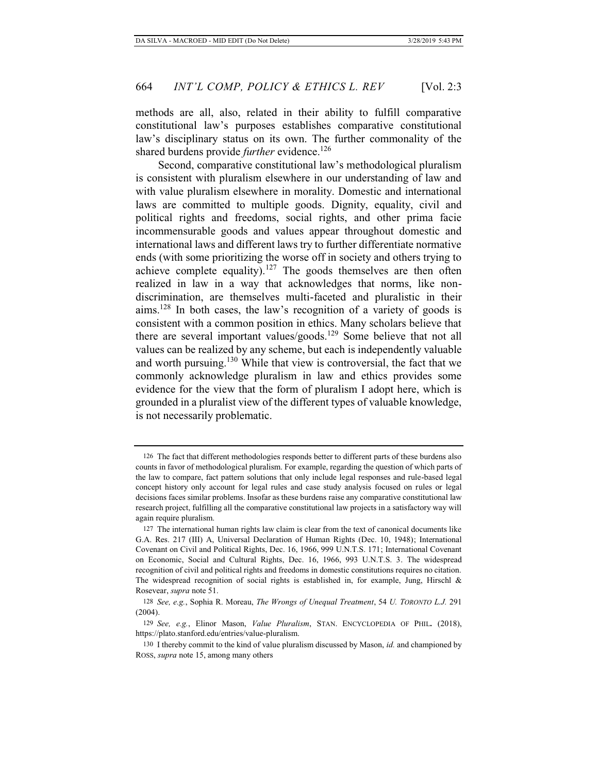methods are all, also, related in their ability to fulfill comparative constitutional law's purposes establishes comparative constitutional law's disciplinary status on its own. The further commonality of the shared burdens provide *further* evidence.<sup>126</sup>

Second, comparative constitutional law's methodological pluralism is consistent with pluralism elsewhere in our understanding of law and with value pluralism elsewhere in morality. Domestic and international laws are committed to multiple goods. Dignity, equality, civil and political rights and freedoms, social rights, and other prima facie incommensurable goods and values appear throughout domestic and international laws and different laws try to further differentiate normative ends (with some prioritizing the worse off in society and others trying to achieve complete equality).<sup>127</sup> The goods themselves are then often realized in law in a way that acknowledges that norms, like nondiscrimination, are themselves multi-faceted and pluralistic in their aims.128 In both cases, the law's recognition of a variety of goods is consistent with a common position in ethics. Many scholars believe that there are several important values/goods.<sup>129</sup> Some believe that not all values can be realized by any scheme, but each is independently valuable and worth pursuing. $130$  While that view is controversial, the fact that we commonly acknowledge pluralism in law and ethics provides some evidence for the view that the form of pluralism I adopt here, which is grounded in a pluralist view of the different types of valuable knowledge, is not necessarily problematic.

<sup>126</sup> The fact that different methodologies responds better to different parts of these burdens also counts in favor of methodological pluralism. For example, regarding the question of which parts of the law to compare, fact pattern solutions that only include legal responses and rule-based legal concept history only account for legal rules and case study analysis focused on rules or legal decisions faces similar problems. Insofar as these burdens raise any comparative constitutional law research project, fulfilling all the comparative constitutional law projects in a satisfactory way will again require pluralism.

<sup>127</sup> The international human rights law claim is clear from the text of canonical documents like G.A. Res. 217 (III) A, Universal Declaration of Human Rights (Dec. 10, 1948); International Covenant on Civil and Political Rights, Dec. 16, 1966, 999 U.N.T.S. 171; International Covenant on Economic, Social and Cultural Rights, Dec. 16, 1966, 993 U.N.T.S. 3. The widespread recognition of civil and political rights and freedoms in domestic constitutions requires no citation. The widespread recognition of social rights is established in, for example, Jung, Hirschl  $\&$ Rosevear, *supra* note 51.

<sup>128</sup> *See, e.g.*, Sophia R. Moreau, *The Wrongs of Unequal Treatment*, 54 *U. TORONTO L.J.* 291 (2004).

<sup>129</sup> *See, e.g.*, Elinor Mason, *Value Pluralism*, STAN. ENCYCLOPEDIA OF PHIL**.** (2018), https://plato.stanford.edu/entries/value-pluralism.

<sup>130</sup> I thereby commit to the kind of value pluralism discussed by Mason, *id.* and championed by ROSS, *supra* note 15, among many others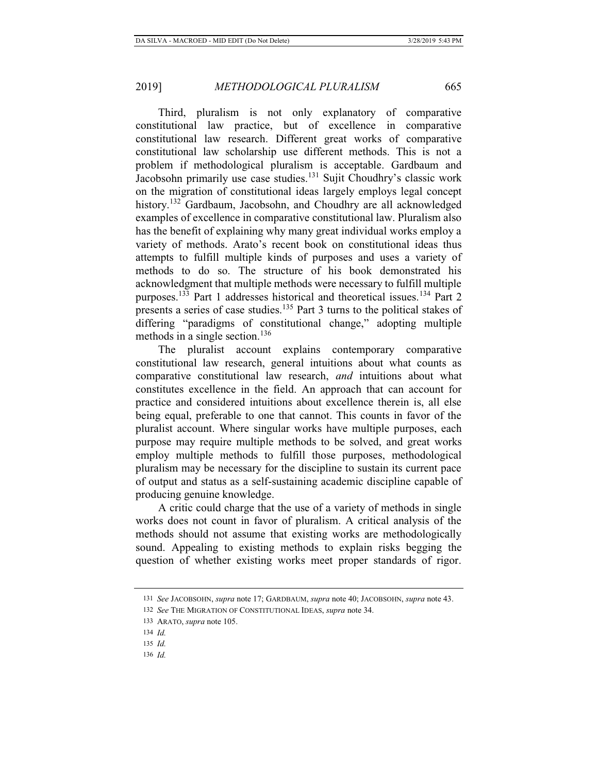Third, pluralism is not only explanatory of comparative constitutional law practice, but of excellence in comparative constitutional law research. Different great works of comparative constitutional law scholarship use different methods. This is not a problem if methodological pluralism is acceptable. Gardbaum and Jacobsohn primarily use case studies.<sup>131</sup> Sujit Choudhry's classic work on the migration of constitutional ideas largely employs legal concept history.<sup>132</sup> Gardbaum, Jacobsohn, and Choudhry are all acknowledged examples of excellence in comparative constitutional law. Pluralism also has the benefit of explaining why many great individual works employ a variety of methods. Arato's recent book on constitutional ideas thus attempts to fulfill multiple kinds of purposes and uses a variety of methods to do so. The structure of his book demonstrated his acknowledgment that multiple methods were necessary to fulfill multiple purposes.133 Part 1 addresses historical and theoretical issues.134 Part 2 presents a series of case studies.135 Part 3 turns to the political stakes of differing "paradigms of constitutional change," adopting multiple methods in a single section.<sup>136</sup>

The pluralist account explains contemporary comparative constitutional law research, general intuitions about what counts as comparative constitutional law research, *and* intuitions about what constitutes excellence in the field. An approach that can account for practice and considered intuitions about excellence therein is, all else being equal, preferable to one that cannot. This counts in favor of the pluralist account. Where singular works have multiple purposes, each purpose may require multiple methods to be solved, and great works employ multiple methods to fulfill those purposes, methodological pluralism may be necessary for the discipline to sustain its current pace of output and status as a self-sustaining academic discipline capable of producing genuine knowledge.

A critic could charge that the use of a variety of methods in single works does not count in favor of pluralism. A critical analysis of the methods should not assume that existing works are methodologically sound. Appealing to existing methods to explain risks begging the question of whether existing works meet proper standards of rigor.

<sup>131</sup> *See* JACOBSOHN, *supra* note 17; GARDBAUM, *supra* note 40; JACOBSOHN, *supra* note 43.

<sup>132</sup> *See* THE MIGRATION OF CONSTITUTIONAL IDEAS, *supra* note 34.

<sup>133</sup> ARATO, *supra* note 105.

<sup>134</sup> *Id.*

<sup>135</sup> *Id.*

<sup>136</sup> *Id.*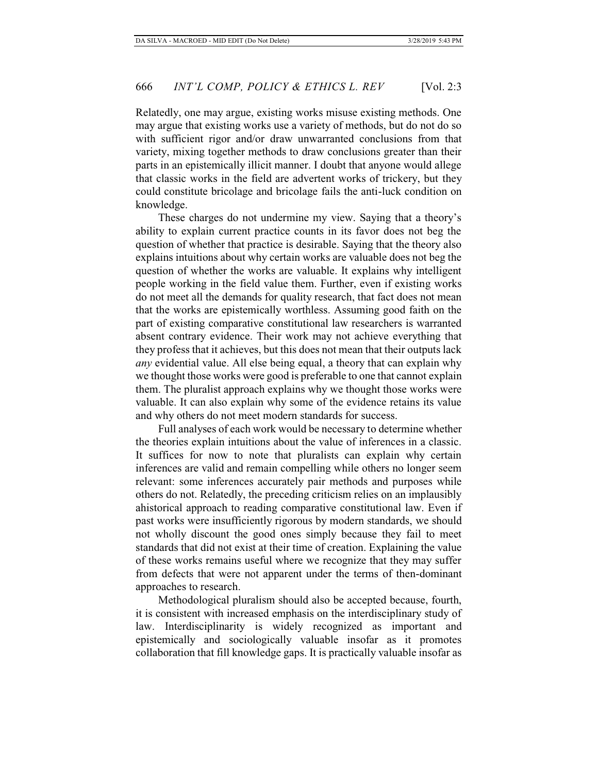Relatedly, one may argue, existing works misuse existing methods. One may argue that existing works use a variety of methods, but do not do so with sufficient rigor and/or draw unwarranted conclusions from that variety, mixing together methods to draw conclusions greater than their parts in an epistemically illicit manner. I doubt that anyone would allege that classic works in the field are advertent works of trickery, but they could constitute bricolage and bricolage fails the anti-luck condition on knowledge.

These charges do not undermine my view. Saying that a theory's ability to explain current practice counts in its favor does not beg the question of whether that practice is desirable. Saying that the theory also explains intuitions about why certain works are valuable does not beg the question of whether the works are valuable. It explains why intelligent people working in the field value them. Further, even if existing works do not meet all the demands for quality research, that fact does not mean that the works are epistemically worthless. Assuming good faith on the part of existing comparative constitutional law researchers is warranted absent contrary evidence. Their work may not achieve everything that they profess that it achieves, but this does not mean that their outputs lack *any* evidential value. All else being equal, a theory that can explain why we thought those works were good is preferable to one that cannot explain them. The pluralist approach explains why we thought those works were valuable. It can also explain why some of the evidence retains its value and why others do not meet modern standards for success.

Full analyses of each work would be necessary to determine whether the theories explain intuitions about the value of inferences in a classic. It suffices for now to note that pluralists can explain why certain inferences are valid and remain compelling while others no longer seem relevant: some inferences accurately pair methods and purposes while others do not. Relatedly, the preceding criticism relies on an implausibly ahistorical approach to reading comparative constitutional law. Even if past works were insufficiently rigorous by modern standards, we should not wholly discount the good ones simply because they fail to meet standards that did not exist at their time of creation. Explaining the value of these works remains useful where we recognize that they may suffer from defects that were not apparent under the terms of then-dominant approaches to research.

Methodological pluralism should also be accepted because, fourth, it is consistent with increased emphasis on the interdisciplinary study of law. Interdisciplinarity is widely recognized as important and epistemically and sociologically valuable insofar as it promotes collaboration that fill knowledge gaps. It is practically valuable insofar as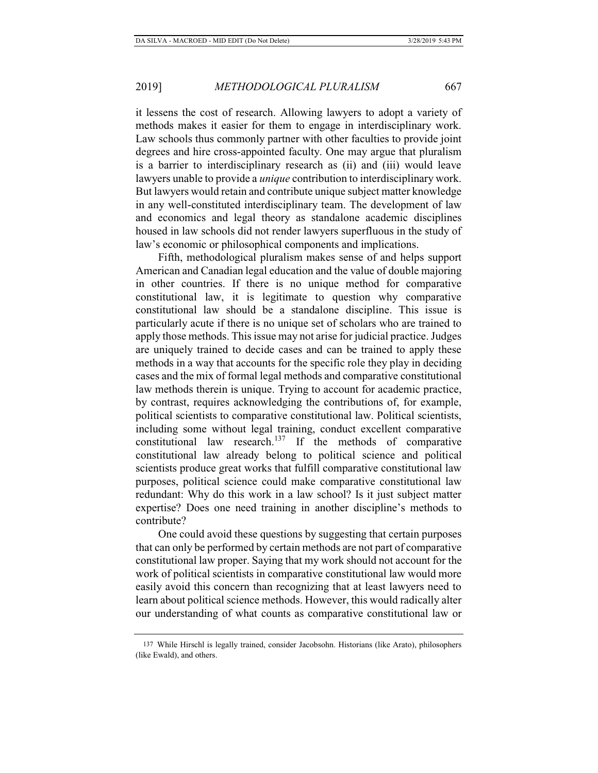it lessens the cost of research. Allowing lawyers to adopt a variety of methods makes it easier for them to engage in interdisciplinary work. Law schools thus commonly partner with other faculties to provide joint degrees and hire cross-appointed faculty. One may argue that pluralism is a barrier to interdisciplinary research as (ii) and (iii) would leave lawyers unable to provide a *unique* contribution to interdisciplinary work. But lawyers would retain and contribute unique subject matter knowledge in any well-constituted interdisciplinary team. The development of law and economics and legal theory as standalone academic disciplines housed in law schools did not render lawyers superfluous in the study of law's economic or philosophical components and implications.

Fifth, methodological pluralism makes sense of and helps support American and Canadian legal education and the value of double majoring in other countries. If there is no unique method for comparative constitutional law, it is legitimate to question why comparative constitutional law should be a standalone discipline. This issue is particularly acute if there is no unique set of scholars who are trained to apply those methods. This issue may not arise for judicial practice. Judges are uniquely trained to decide cases and can be trained to apply these methods in a way that accounts for the specific role they play in deciding cases and the mix of formal legal methods and comparative constitutional law methods therein is unique. Trying to account for academic practice, by contrast, requires acknowledging the contributions of, for example, political scientists to comparative constitutional law. Political scientists, including some without legal training, conduct excellent comparative constitutional law research.<sup>137</sup> If the methods of comparative constitutional law already belong to political science and political scientists produce great works that fulfill comparative constitutional law purposes, political science could make comparative constitutional law redundant: Why do this work in a law school? Is it just subject matter expertise? Does one need training in another discipline's methods to contribute?

One could avoid these questions by suggesting that certain purposes that can only be performed by certain methods are not part of comparative constitutional law proper. Saying that my work should not account for the work of political scientists in comparative constitutional law would more easily avoid this concern than recognizing that at least lawyers need to learn about political science methods. However, this would radically alter our understanding of what counts as comparative constitutional law or

<sup>137</sup> While Hirschl is legally trained, consider Jacobsohn. Historians (like Arato), philosophers (like Ewald), and others.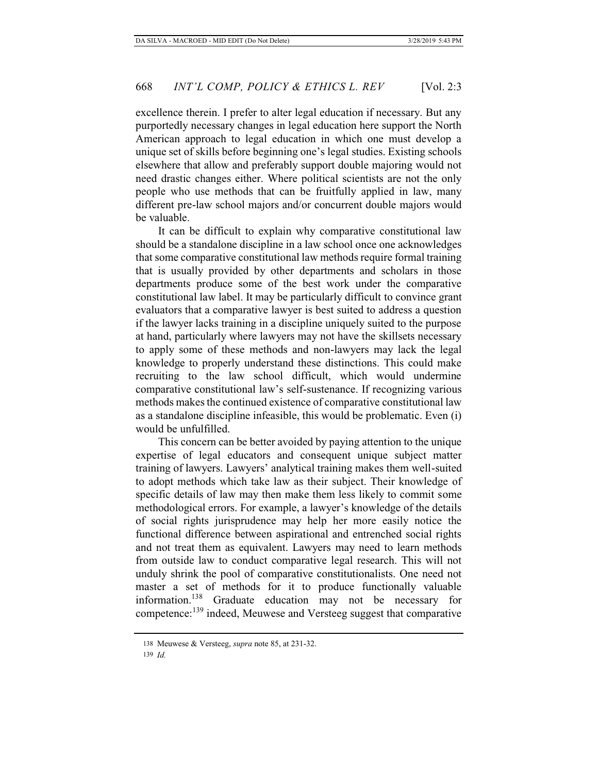excellence therein. I prefer to alter legal education if necessary. But any purportedly necessary changes in legal education here support the North American approach to legal education in which one must develop a unique set of skills before beginning one's legal studies. Existing schools elsewhere that allow and preferably support double majoring would not need drastic changes either. Where political scientists are not the only people who use methods that can be fruitfully applied in law, many different pre-law school majors and/or concurrent double majors would be valuable.

It can be difficult to explain why comparative constitutional law should be a standalone discipline in a law school once one acknowledges that some comparative constitutional law methods require formal training that is usually provided by other departments and scholars in those departments produce some of the best work under the comparative constitutional law label. It may be particularly difficult to convince grant evaluators that a comparative lawyer is best suited to address a question if the lawyer lacks training in a discipline uniquely suited to the purpose at hand, particularly where lawyers may not have the skillsets necessary to apply some of these methods and non-lawyers may lack the legal knowledge to properly understand these distinctions. This could make recruiting to the law school difficult, which would undermine comparative constitutional law's self-sustenance. If recognizing various methods makes the continued existence of comparative constitutional law as a standalone discipline infeasible, this would be problematic. Even (i) would be unfulfilled.

This concern can be better avoided by paying attention to the unique expertise of legal educators and consequent unique subject matter training of lawyers. Lawyers' analytical training makes them well-suited to adopt methods which take law as their subject. Their knowledge of specific details of law may then make them less likely to commit some methodological errors. For example, a lawyer's knowledge of the details of social rights jurisprudence may help her more easily notice the functional difference between aspirational and entrenched social rights and not treat them as equivalent. Lawyers may need to learn methods from outside law to conduct comparative legal research. This will not unduly shrink the pool of comparative constitutionalists. One need not master a set of methods for it to produce functionally valuable information.138 Graduate education may not be necessary for competence:139 indeed, Meuwese and Versteeg suggest that comparative

<sup>138</sup> Meuwese & Versteeg, *supra* note 85, at 231-32.

<sup>139</sup> *Id.*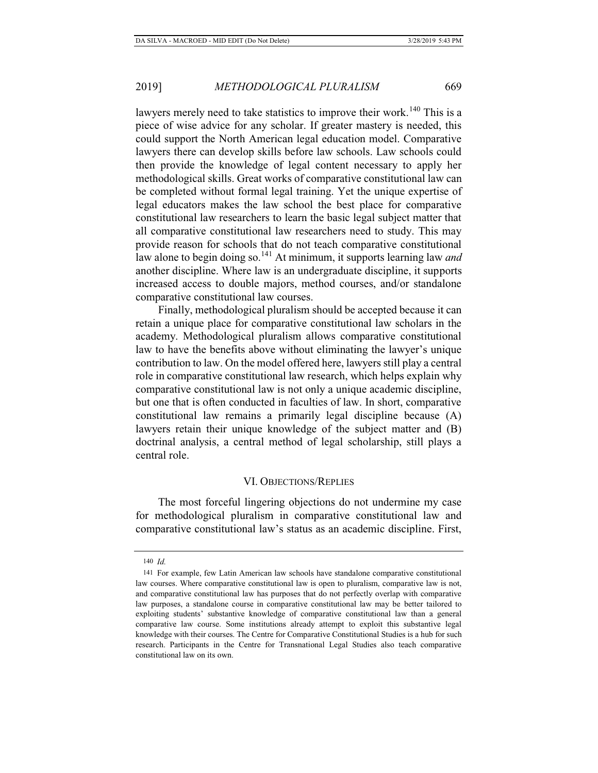lawyers merely need to take statistics to improve their work.<sup>140</sup> This is a piece of wise advice for any scholar. If greater mastery is needed, this could support the North American legal education model. Comparative lawyers there can develop skills before law schools. Law schools could then provide the knowledge of legal content necessary to apply her methodological skills. Great works of comparative constitutional law can be completed without formal legal training. Yet the unique expertise of legal educators makes the law school the best place for comparative constitutional law researchers to learn the basic legal subject matter that all comparative constitutional law researchers need to study. This may provide reason for schools that do not teach comparative constitutional law alone to begin doing so.<sup>141</sup> At minimum, it supports learning law *and* another discipline. Where law is an undergraduate discipline, it supports increased access to double majors, method courses, and/or standalone comparative constitutional law courses.

Finally, methodological pluralism should be accepted because it can retain a unique place for comparative constitutional law scholars in the academy. Methodological pluralism allows comparative constitutional law to have the benefits above without eliminating the lawyer's unique contribution to law. On the model offered here, lawyers still play a central role in comparative constitutional law research, which helps explain why comparative constitutional law is not only a unique academic discipline, but one that is often conducted in faculties of law. In short, comparative constitutional law remains a primarily legal discipline because (A) lawyers retain their unique knowledge of the subject matter and (B) doctrinal analysis, a central method of legal scholarship, still plays a central role.

# VI. OBJECTIONS/REPLIES

The most forceful lingering objections do not undermine my case for methodological pluralism in comparative constitutional law and comparative constitutional law's status as an academic discipline. First,

<sup>140</sup> *Id.*

<sup>141</sup> For example, few Latin American law schools have standalone comparative constitutional law courses. Where comparative constitutional law is open to pluralism, comparative law is not, and comparative constitutional law has purposes that do not perfectly overlap with comparative law purposes, a standalone course in comparative constitutional law may be better tailored to exploiting students' substantive knowledge of comparative constitutional law than a general comparative law course. Some institutions already attempt to exploit this substantive legal knowledge with their courses. The Centre for Comparative Constitutional Studies is a hub for such research. Participants in the Centre for Transnational Legal Studies also teach comparative constitutional law on its own.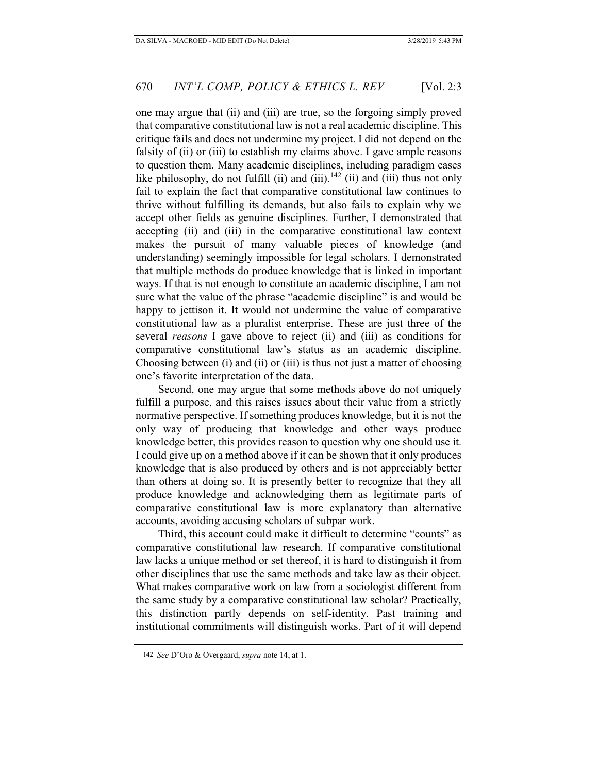one may argue that (ii) and (iii) are true, so the forgoing simply proved that comparative constitutional law is not a real academic discipline. This critique fails and does not undermine my project. I did not depend on the falsity of (ii) or (iii) to establish my claims above. I gave ample reasons to question them. Many academic disciplines, including paradigm cases like philosophy, do not fulfill (ii) and (iii).<sup>142</sup> (ii) and (iii) thus not only fail to explain the fact that comparative constitutional law continues to thrive without fulfilling its demands, but also fails to explain why we accept other fields as genuine disciplines. Further, I demonstrated that accepting (ii) and (iii) in the comparative constitutional law context makes the pursuit of many valuable pieces of knowledge (and understanding) seemingly impossible for legal scholars. I demonstrated that multiple methods do produce knowledge that is linked in important ways. If that is not enough to constitute an academic discipline, I am not sure what the value of the phrase "academic discipline" is and would be happy to jettison it. It would not undermine the value of comparative constitutional law as a pluralist enterprise. These are just three of the several *reasons* I gave above to reject (ii) and (iii) as conditions for comparative constitutional law's status as an academic discipline. Choosing between (i) and (ii) or (iii) is thus not just a matter of choosing one's favorite interpretation of the data.

Second, one may argue that some methods above do not uniquely fulfill a purpose, and this raises issues about their value from a strictly normative perspective. If something produces knowledge, but it is not the only way of producing that knowledge and other ways produce knowledge better, this provides reason to question why one should use it. I could give up on a method above if it can be shown that it only produces knowledge that is also produced by others and is not appreciably better than others at doing so. It is presently better to recognize that they all produce knowledge and acknowledging them as legitimate parts of comparative constitutional law is more explanatory than alternative accounts, avoiding accusing scholars of subpar work.

Third, this account could make it difficult to determine "counts" as comparative constitutional law research. If comparative constitutional law lacks a unique method or set thereof, it is hard to distinguish it from other disciplines that use the same methods and take law as their object. What makes comparative work on law from a sociologist different from the same study by a comparative constitutional law scholar? Practically, this distinction partly depends on self-identity. Past training and institutional commitments will distinguish works. Part of it will depend

<sup>142</sup> *See* D'Oro & Overgaard, *supra* note 14, at 1.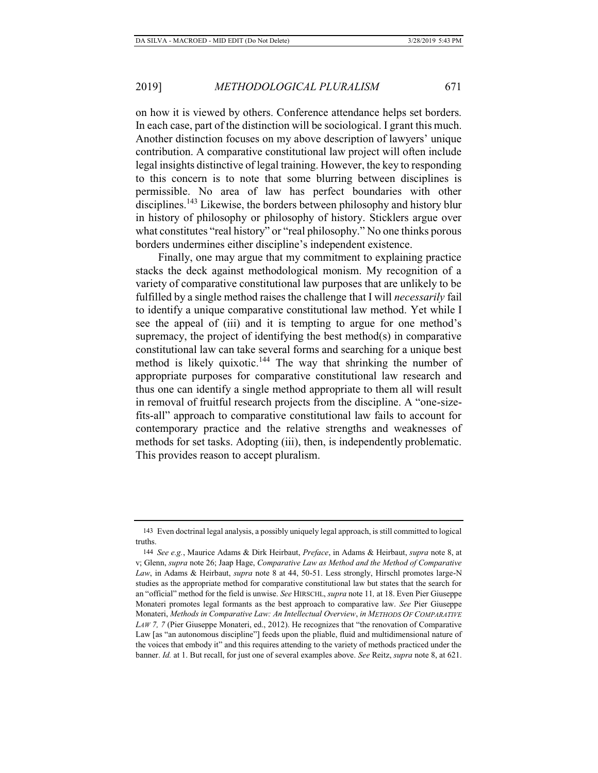on how it is viewed by others. Conference attendance helps set borders. In each case, part of the distinction will be sociological. I grant this much. Another distinction focuses on my above description of lawyers' unique contribution. A comparative constitutional law project will often include legal insights distinctive of legal training. However, the key to responding to this concern is to note that some blurring between disciplines is permissible. No area of law has perfect boundaries with other disciplines.<sup>143</sup> Likewise, the borders between philosophy and history blur in history of philosophy or philosophy of history. Sticklers argue over what constitutes "real history" or "real philosophy." No one thinks porous borders undermines either discipline's independent existence.

Finally, one may argue that my commitment to explaining practice stacks the deck against methodological monism. My recognition of a variety of comparative constitutional law purposes that are unlikely to be fulfilled by a single method raises the challenge that I will *necessarily* fail to identify a unique comparative constitutional law method. Yet while I see the appeal of (iii) and it is tempting to argue for one method's supremacy, the project of identifying the best method(s) in comparative constitutional law can take several forms and searching for a unique best method is likely quixotic.<sup>144</sup> The way that shrinking the number of appropriate purposes for comparative constitutional law research and thus one can identify a single method appropriate to them all will result in removal of fruitful research projects from the discipline. A "one-sizefits-all" approach to comparative constitutional law fails to account for contemporary practice and the relative strengths and weaknesses of methods for set tasks. Adopting (iii), then, is independently problematic. This provides reason to accept pluralism.

<sup>143</sup> Even doctrinal legal analysis, a possibly uniquely legal approach, is still committed to logical truths.

<sup>144</sup> *See e.g.*, Maurice Adams & Dirk Heirbaut, *Preface*, in Adams & Heirbaut, *supra* note 8, at v; Glenn, *supra* note 26; Jaap Hage, *Comparative Law as Method and the Method of Comparative Law*, in Adams & Heirbaut, *supra* note 8 at 44, 50-51. Less strongly, Hirschl promotes large-N studies as the appropriate method for comparative constitutional law but states that the search for an "official" method for the field is unwise. *See* HIRSCHL, *supra* note 11*,* at 18. Even Pier Giuseppe Monateri promotes legal formants as the best approach to comparative law. *See* Pier Giuseppe Monateri, *Methods in Comparative Law: An Intellectual Overview*, *in METHODS OF COMPARATIVE LAW 7, 7* (Pier Giuseppe Monateri, ed., 2012). He recognizes that "the renovation of Comparative Law [as "an autonomous discipline"] feeds upon the pliable, fluid and multidimensional nature of the voices that embody it" and this requires attending to the variety of methods practiced under the banner. *Id.* at 1. But recall, for just one of several examples above. *See* Reitz, *supra* note 8, at 621.